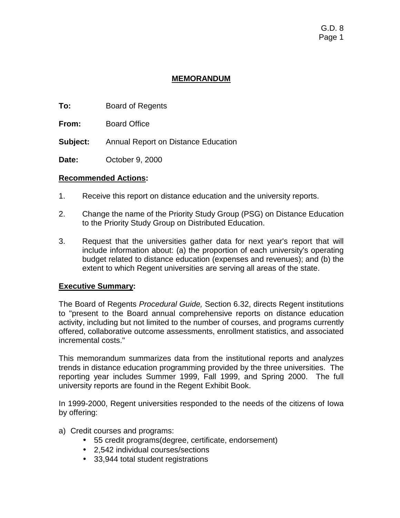# **MEMORANDUM**

- **To:** Board of Regents
- **From:** Board Office
- **Subject:** Annual Report on Distance Education
- **Date:** October 9, 2000

### **Recommended Actions:**

- 1. Receive this report on distance education and the university reports.
- 2. Change the name of the Priority Study Group (PSG) on Distance Education to the Priority Study Group on Distributed Education.
- 3. Request that the universities gather data for next year's report that will include information about: (a) the proportion of each university's operating budget related to distance education (expenses and revenues); and (b) the extent to which Regent universities are serving all areas of the state.

## **Executive Summary:**

The Board of Regents *Procedural Guide,* Section 6.32, directs Regent institutions to "present to the Board annual comprehensive reports on distance education activity, including but not limited to the number of courses, and programs currently offered, collaborative outcome assessments, enrollment statistics, and associated incremental costs."

This memorandum summarizes data from the institutional reports and analyzes trends in distance education programming provided by the three universities. The reporting year includes Summer 1999, Fall 1999, and Spring 2000. The full university reports are found in the Regent Exhibit Book.

In 1999-2000, Regent universities responded to the needs of the citizens of Iowa by offering:

- a) Credit courses and programs:
	- 55 credit programs(degree, certificate, endorsement)
	- 2,542 individual courses/sections
	- 33,944 total student registrations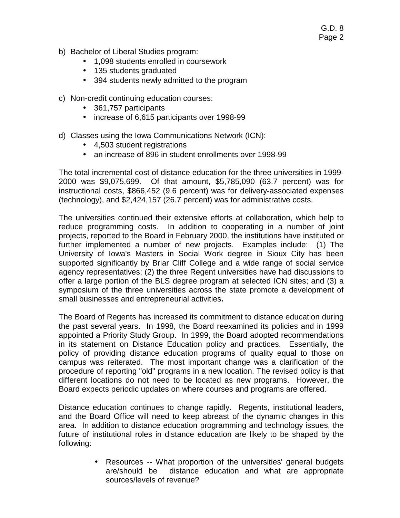- b) Bachelor of Liberal Studies program:
	- 1,098 students enrolled in coursework
	- 135 students graduated
	- 394 students newly admitted to the program
- c) Non-credit continuing education courses:
	- 361,757 participants
	- increase of 6,615 participants over 1998-99
- d) Classes using the Iowa Communications Network (ICN):
	- 4,503 student registrations
	- an increase of 896 in student enrollments over 1998-99

The total incremental cost of distance education for the three universities in 1999- 2000 was \$9,075,699. Of that amount, \$5,785,090 (63.7 percent) was for instructional costs, \$866,452 (9.6 percent) was for delivery-associated expenses (technology), and \$2,424,157 (26.7 percent) was for administrative costs.

The universities continued their extensive efforts at collaboration, which help to reduce programming costs. In addition to cooperating in a number of joint projects, reported to the Board in February 2000, the institutions have instituted or further implemented a number of new projects. Examples include: (1) The University of Iowa's Masters in Social Work degree in Sioux City has been supported significantly by Briar Cliff College and a wide range of social service agency representatives; (2) the three Regent universities have had discussions to offer a large portion of the BLS degree program at selected ICN sites; and (3) a symposium of the three universities across the state promote a development of small businesses and entrepreneurial activities**.** 

The Board of Regents has increased its commitment to distance education during the past several years. In 1998, the Board reexamined its policies and in 1999 appointed a Priority Study Group. In 1999, the Board adopted recommendations in its statement on Distance Education policy and practices. Essentially, the policy of providing distance education programs of quality equal to those on campus was reiterated. The most important change was a clarification of the procedure of reporting "old" programs in a new location. The revised policy is that different locations do not need to be located as new programs. However, the Board expects periodic updates on where courses and programs are offered.

Distance education continues to change rapidly. Regents, institutional leaders, and the Board Office will need to keep abreast of the dynamic changes in this area. In addition to distance education programming and technology issues, the future of institutional roles in distance education are likely to be shaped by the following:

> • Resources -- What proportion of the universities' general budgets are/should be distance education and what are appropriate sources/levels of revenue?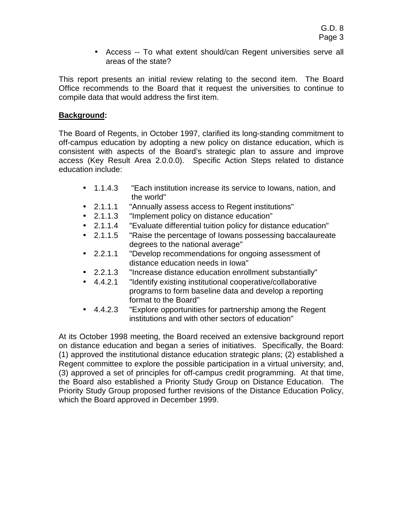• Access -- To what extent should/can Regent universities serve all areas of the state?

This report presents an initial review relating to the second item. The Board Office recommends to the Board that it request the universities to continue to compile data that would address the first item.

# **Background:**

The Board of Regents, in October 1997, clarified its long-standing commitment to off-campus education by adopting a new policy on distance education, which is consistent with aspects of the Board's strategic plan to assure and improve access (Key Result Area 2.0.0.0). Specific Action Steps related to distance education include:

- 1.1.4.3 "Each institution increase its service to Iowans, nation, and the world"
- 2.1.1.1 "Annually assess access to Regent institutions"
- 2.1.1.3 "Implement policy on distance education"
- 2.1.1.4 "Evaluate differential tuition policy for distance education"
- 2.1.1.5 "Raise the percentage of Iowans possessing baccalaureate degrees to the national average"
- 2.2.1.1 "Develop recommendations for ongoing assessment of distance education needs in Iowa"
- 2.2.1.3 "Increase distance education enrollment substantially"
- 4.4.2.1 "Identify existing institutional cooperative/collaborative programs to form baseline data and develop a reporting format to the Board"
- 4.4.2.3 "Explore opportunities for partnership among the Regent institutions and with other sectors of education"

At its October 1998 meeting, the Board received an extensive background report on distance education and began a series of initiatives. Specifically, the Board: (1) approved the institutional distance education strategic plans; (2) established a Regent committee to explore the possible participation in a virtual university; and, (3) approved a set of principles for off-campus credit programming. At that time, the Board also established a Priority Study Group on Distance Education. The Priority Study Group proposed further revisions of the Distance Education Policy, which the Board approved in December 1999.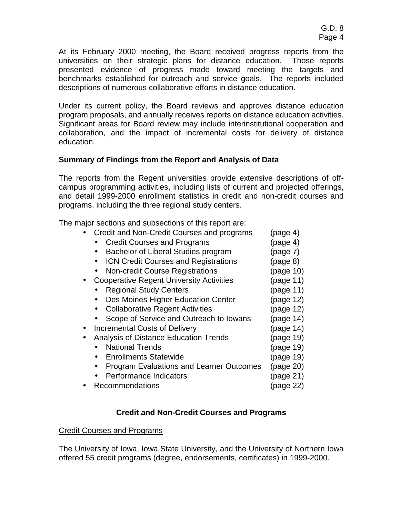At its February 2000 meeting, the Board received progress reports from the universities on their strategic plans for distance education. Those reports presented evidence of progress made toward meeting the targets and benchmarks established for outreach and service goals. The reports included descriptions of numerous collaborative efforts in distance education.

Under its current policy, the Board reviews and approves distance education program proposals, and annually receives reports on distance education activities. Significant areas for Board review may include interinstitutional cooperation and collaboration, and the impact of incremental costs for delivery of distance education.

# **Summary of Findings from the Report and Analysis of Data**

The reports from the Regent universities provide extensive descriptions of offcampus programming activities, including lists of current and projected offerings, and detail 1999-2000 enrollment statistics in credit and non-credit courses and programs, including the three regional study centers.

The major sections and subsections of this report are:

| Credit and Non-Credit Courses and programs      | (page 4)  |
|-------------------------------------------------|-----------|
| <b>Credit Courses and Programs</b>              | (page 4)  |
| Bachelor of Liberal Studies program             | (page 7)  |
| <b>ICN Credit Courses and Registrations</b>     | (page 8)  |
| <b>Non-credit Course Registrations</b>          | (page 10) |
| <b>Cooperative Regent University Activities</b> | (page 11) |
| <b>Regional Study Centers</b>                   | (page 11) |
| Des Moines Higher Education Center              | (page 12) |
| <b>Collaborative Regent Activities</b>          | (page 12) |
| Scope of Service and Outreach to Iowans         | (page 14) |
| <b>Incremental Costs of Delivery</b>            | (page 14) |
| <b>Analysis of Distance Education Trends</b>    | (page 19) |
| <b>National Trends</b>                          | (page 19) |
| <b>Enrollments Statewide</b>                    | (page 19) |
| <b>Program Evaluations and Learner Outcomes</b> | (page 20) |
| Performance Indicators                          | (page 21) |
| Recommendations                                 | (page 22) |

# **Credit and Non-Credit Courses and Programs**

## Credit Courses and Programs

The University of Iowa, Iowa State University, and the University of Northern Iowa offered 55 credit programs (degree, endorsements, certificates) in 1999-2000.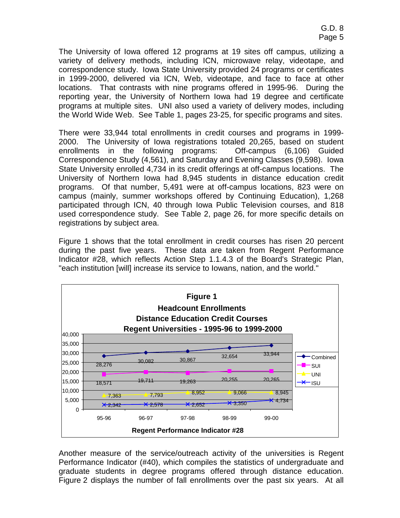The University of Iowa offered 12 programs at 19 sites off campus, utilizing a variety of delivery methods, including ICN, microwave relay, videotape, and correspondence study. Iowa State University provided 24 programs or certificates in 1999-2000, delivered via ICN, Web, videotape, and face to face at other locations. That contrasts with nine programs offered in 1995-96. During the reporting year, the University of Northern Iowa had 19 degree and certificate programs at multiple sites. UNI also used a variety of delivery modes, including the World Wide Web. See Table 1, pages 23-25, for specific programs and sites.

There were 33,944 total enrollments in credit courses and programs in 1999- 2000. The University of Iowa registrations totaled 20,265, based on student enrollments in the following programs: Off-campus (6,106) Guided Correspondence Study (4,561), and Saturday and Evening Classes (9,598). Iowa State University enrolled 4,734 in its credit offerings at off-campus locations. The University of Northern Iowa had 8,945 students in distance education credit programs. Of that number, 5,491 were at off-campus locations, 823 were on campus (mainly, summer workshops offered by Continuing Education), 1,268 participated through ICN, 40 through Iowa Public Television courses, and 818 used correspondence study. See Table 2, page 26, for more specific details on registrations by subject area.

Figure 1 shows that the total enrollment in credit courses has risen 20 percent during the past five years. These data are taken from Regent Performance Indicator #28, which reflects Action Step 1.1.4.3 of the Board's Strategic Plan, "each institution [will] increase its service to Iowans, nation, and the world."



Another measure of the service/outreach activity of the universities is Regent Performance Indicator (#40), which compiles the statistics of undergraduate and graduate students in degree programs offered through distance education. Figure 2 displays the number of fall enrollments over the past six years. At all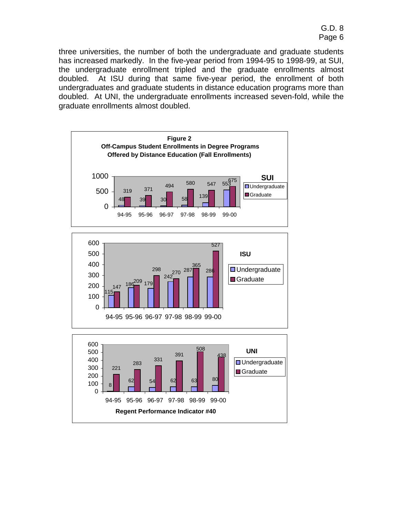three universities, the number of both the undergraduate and graduate students has increased markedly. In the five-year period from 1994-95 to 1998-99, at SUI, the undergraduate enrollment tripled and the graduate enrollments almost doubled. At ISU during that same five-year period, the enrollment of both undergraduates and graduate students in distance education programs more than doubled. At UNI, the undergraduate enrollments increased seven-fold, while the graduate enrollments almost doubled.

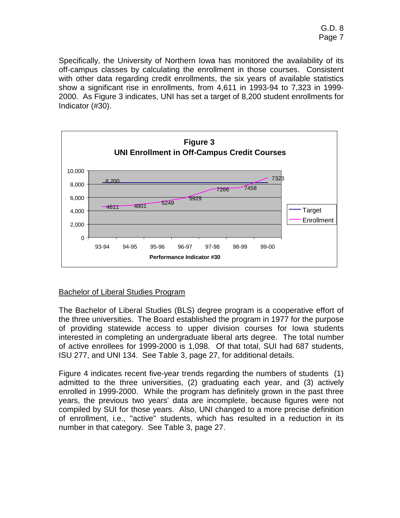Specifically, the University of Northern Iowa has monitored the availability of its off-campus classes by calculating the enrollment in those courses. Consistent with other data regarding credit enrollments, the six years of available statistics show a significant rise in enrollments, from 4,611 in 1993-94 to 7,323 in 1999- 2000. As Figure 3 indicates, UNI has set a target of 8,200 student enrollments for Indicator (#30).



## Bachelor of Liberal Studies Program

The Bachelor of Liberal Studies (BLS) degree program is a cooperative effort of the three universities. The Board established the program in 1977 for the purpose of providing statewide access to upper division courses for Iowa students interested in completing an undergraduate liberal arts degree. The total number of active enrollees for 1999-2000 is 1,098. Of that total, SUI had 687 students, ISU 277, and UNI 134. See Table 3, page 27, for additional details.

Figure 4 indicates recent five-year trends regarding the numbers of students (1) admitted to the three universities, (2) graduating each year, and (3) actively enrolled in 1999-2000. While the program has definitely grown in the past three years, the previous two years' data are incomplete, because figures were not compiled by SUI for those years. Also, UNI changed to a more precise definition of enrollment, i.e., "active" students, which has resulted in a reduction in its number in that category. See Table 3, page 27.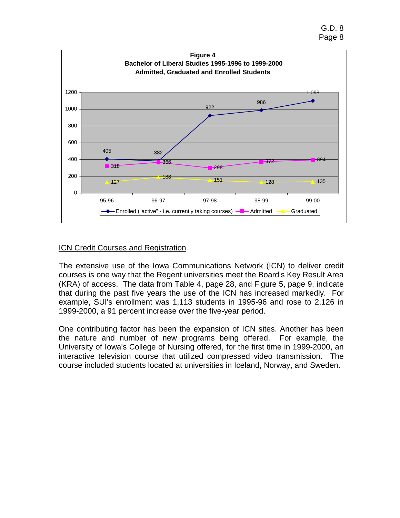

# ICN Credit Courses and Registration

The extensive use of the Iowa Communications Network (ICN) to deliver credit courses is one way that the Regent universities meet the Board's Key Result Area (KRA) of access. The data from Table 4, page 28, and Figure 5, page 9, indicate that during the past five years the use of the ICN has increased markedly. For example, SUI's enrollment was 1,113 students in 1995-96 and rose to 2,126 in 1999-2000, a 91 percent increase over the five-year period.

One contributing factor has been the expansion of ICN sites. Another has been the nature and number of new programs being offered. For example, the University of Iowa's College of Nursing offered, for the first time in 1999-2000, an interactive television course that utilized compressed video transmission. The course included students located at universities in Iceland, Norway, and Sweden.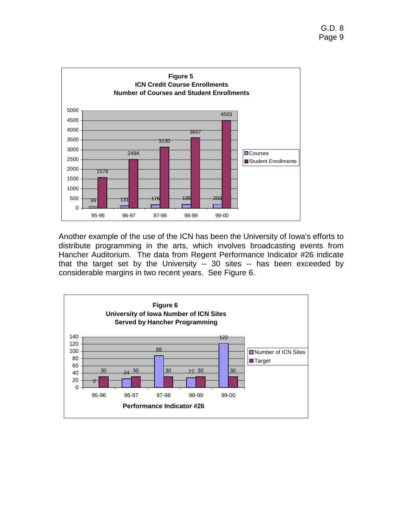

Another example of the use of the ICN has been the University of Iowa's efforts to distribute programming in the arts, which involves broadcasting events from Hancher Auditorium. The data from Regent Performance Indicator #26 indicate that the target set by the University -- 30 sites -- has been exceeded by considerable margins in two recent years. See Figure 6.

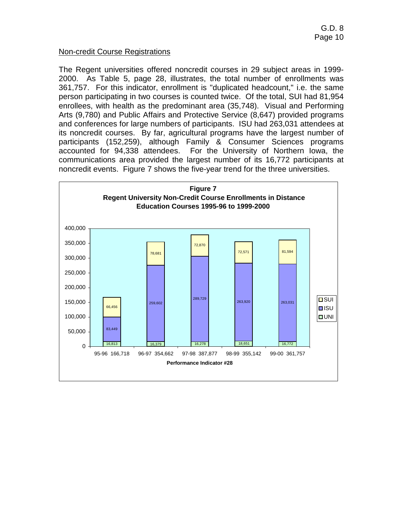### Non-credit Course Registrations

The Regent universities offered noncredit courses in 29 subject areas in 1999- 2000. As Table 5, page 28, illustrates, the total number of enrollments was 361,757. For this indicator, enrollment is "duplicated headcount," i.e. the same person participating in two courses is counted twice. Of the total, SUI had 81,954 enrollees, with health as the predominant area (35,748). Visual and Performing Arts (9,780) and Public Affairs and Protective Service (8,647) provided programs and conferences for large numbers of participants. ISU had 263,031 attendees at its noncredit courses. By far, agricultural programs have the largest number of participants (152,259), although Family & Consumer Sciences programs accounted for 94,338 attendees. For the University of Northern Iowa, the communications area provided the largest number of its 16,772 participants at noncredit events. Figure 7 shows the five-year trend for the three universities.

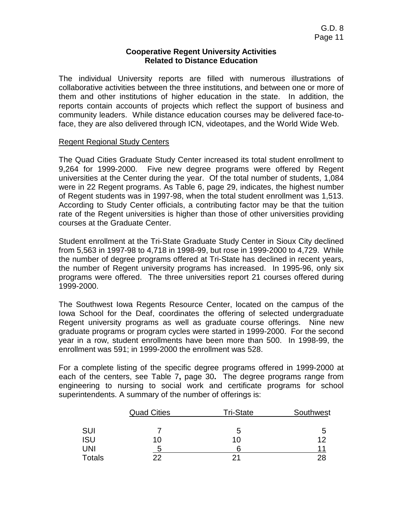### **Cooperative Regent University Activities Related to Distance Education**

The individual University reports are filled with numerous illustrations of collaborative activities between the three institutions, and between one or more of them and other institutions of higher education in the state. In addition, the reports contain accounts of projects which reflect the support of business and community leaders. While distance education courses may be delivered face-toface, they are also delivered through ICN, videotapes, and the World Wide Web.

### Regent Regional Study Centers

The Quad Cities Graduate Study Center increased its total student enrollment to 9,264 for 1999-2000. Five new degree programs were offered by Regent universities at the Center during the year. Of the total number of students, 1,084 were in 22 Regent programs. As Table 6, page 29, indicates, the highest number of Regent students was in 1997-98, when the total student enrollment was 1,513. According to Study Center officials, a contributing factor may be that the tuition rate of the Regent universities is higher than those of other universities providing courses at the Graduate Center.

Student enrollment at the Tri-State Graduate Study Center in Sioux City declined from 5,563 in 1997-98 to 4,718 in 1998-99, but rose in 1999-2000 to 4,729. While the number of degree programs offered at Tri-State has declined in recent years, the number of Regent university programs has increased. In 1995-96, only six programs were offered. The three universities report 21 courses offered during 1999-2000.

The Southwest Iowa Regents Resource Center, located on the campus of the Iowa School for the Deaf, coordinates the offering of selected undergraduate Regent university programs as well as graduate course offerings. Nine new graduate programs or program cycles were started in 1999-2000. For the second year in a row, student enrollments have been more than 500. In 1998-99, the enrollment was 591; in 1999-2000 the enrollment was 528.

For a complete listing of the specific degree programs offered in 1999-2000 at each of the centers, see Table 7**,** page 30**.** The degree programs range from engineering to nursing to social work and certificate programs for school superintendents. A summary of the number of offerings is:

|               | <b>Quad Cities</b> | <b>Tri-State</b> | Southwest |
|---------------|--------------------|------------------|-----------|
| <b>SUI</b>    |                    | b                | 5         |
| <b>ISU</b>    | 10                 | 10               | 12        |
| UNI           |                    |                  |           |
| <b>Totals</b> | つつ                 | つ1               |           |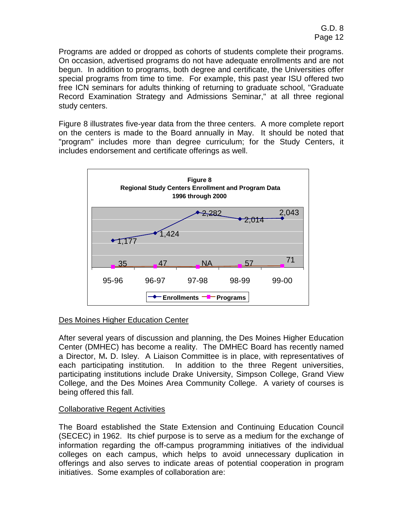Programs are added or dropped as cohorts of students complete their programs. On occasion, advertised programs do not have adequate enrollments and are not begun. In addition to programs, both degree and certificate, the Universities offer special programs from time to time. For example, this past year ISU offered two free ICN seminars for adults thinking of returning to graduate school, "Graduate Record Examination Strategy and Admissions Seminar," at all three regional study centers.

Figure 8 illustrates five-year data from the three centers. A more complete report on the centers is made to the Board annually in May. It should be noted that "program" includes more than degree curriculum; for the Study Centers, it includes endorsement and certificate offerings as well.



## Des Moines Higher Education Center

After several years of discussion and planning, the Des Moines Higher Education Center (DMHEC) has become a reality. The DMHEC Board has recently named a Director, M**.** D. Isley.A Liaison Committee is in place, with representatives of each participating institution. In addition to the three Regent universities, participating institutions include Drake University, Simpson College, Grand View College, and the Des Moines Area Community College. A variety of courses is being offered this fall.

## Collaborative Regent Activities

The Board established the State Extension and Continuing Education Council (SECEC) in 1962. Its chief purpose is to serve as a medium for the exchange of information regarding the off-campus programming initiatives of the individual colleges on each campus, which helps to avoid unnecessary duplication in offerings and also serves to indicate areas of potential cooperation in program initiatives. Some examples of collaboration are: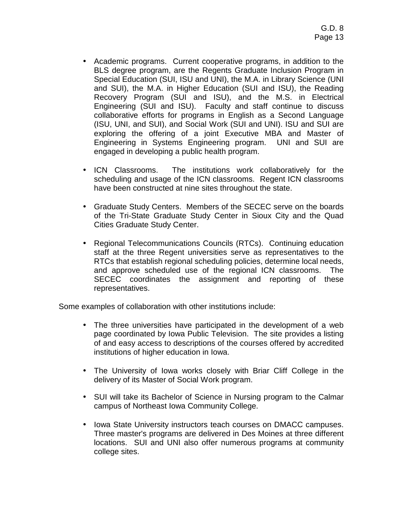- Academic programs. Current cooperative programs, in addition to the BLS degree program, are the Regents Graduate Inclusion Program in Special Education (SUI, ISU and UNI), the M.A. in Library Science (UNI and SUI), the M.A. in Higher Education (SUI and ISU), the Reading Recovery Program (SUI and ISU), and the M.S. in Electrical Engineering (SUI and ISU). Faculty and staff continue to discuss collaborative efforts for programs in English as a Second Language (ISU, UNI, and SUI), and Social Work (SUI and UNI). ISU and SUI are exploring the offering of a joint Executive MBA and Master of Engineering in Systems Engineering program. UNI and SUI are engaged in developing a public health program.
- ICN Classrooms. The institutions work collaboratively for the scheduling and usage of the ICN classrooms. Regent ICN classrooms have been constructed at nine sites throughout the state.
- Graduate Study Centers. Members of the SECEC serve on the boards of the Tri-State Graduate Study Center in Sioux City and the Quad Cities Graduate Study Center.
- Regional Telecommunications Councils (RTCs). Continuing education staff at the three Regent universities serve as representatives to the RTCs that establish regional scheduling policies, determine local needs, and approve scheduled use of the regional ICN classrooms. The SECEC coordinates the assignment and reporting of these representatives.

Some examples of collaboration with other institutions include:

- The three universities have participated in the development of a web page coordinated by Iowa Public Television. The site provides a listing of and easy access to descriptions of the courses offered by accredited institutions of higher education in Iowa.
- The University of Iowa works closely with Briar Cliff College in the delivery of its Master of Social Work program.
- SUI will take its Bachelor of Science in Nursing program to the Calmar campus of Northeast Iowa Community College.
- Iowa State University instructors teach courses on DMACC campuses. Three master's programs are delivered in Des Moines at three different locations. SUI and UNI also offer numerous programs at community college sites.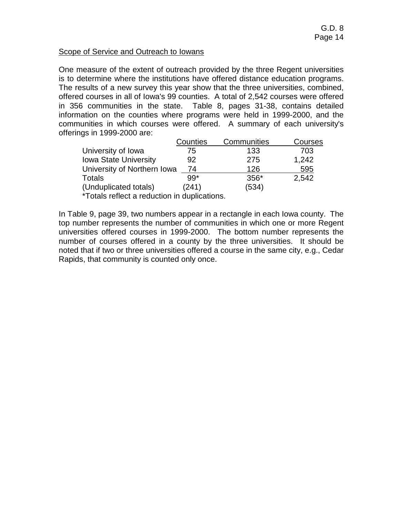### Scope of Service and Outreach to Iowans

One measure of the extent of outreach provided by the three Regent universities is to determine where the institutions have offered distance education programs. The results of a new survey this year show that the three universities, combined, offered courses in all of Iowa's 99 counties. A total of 2,542 courses were offered in 356 communities in the state. Table 8, pages 31-38, contains detailed information on the counties where programs were held in 1999-2000, and the communities in which courses were offered. A summary of each university's offerings in 1999-2000 are:

|                              | Counties | Communities | Courses |
|------------------------------|----------|-------------|---------|
| University of Iowa           | 75       | 133         | 703     |
| <b>Iowa State University</b> | 92       | 275         | 1,242   |
| University of Northern Iowa  | -74      | 126         | 595     |
| Totals                       | $99*$    | $356*$      | 2,542   |
| (Unduplicated totals)        | (241)    | (534)       |         |
|                              |          |             |         |

\*Totals reflect a reduction in duplications.

In Table 9, page 39, two numbers appear in a rectangle in each Iowa county. The top number represents the number of communities in which one or more Regent universities offered courses in 1999-2000. The bottom number represents the number of courses offered in a county by the three universities. It should be noted that if two or three universities offered a course in the same city, e.g., Cedar Rapids, that community is counted only once.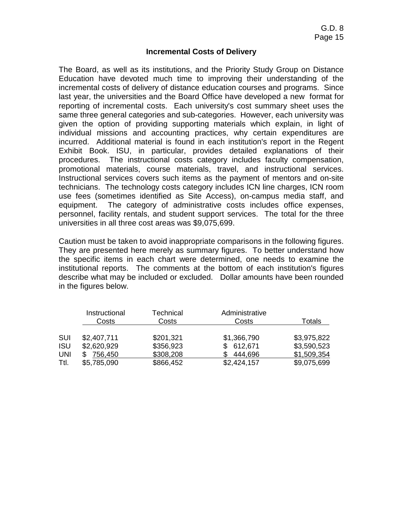### **Incremental Costs of Delivery**

The Board, as well as its institutions, and the Priority Study Group on Distance Education have devoted much time to improving their understanding of the incremental costs of delivery of distance education courses and programs. Since last year, the universities and the Board Office have developed a new format for reporting of incremental costs. Each university's cost summary sheet uses the same three general categories and sub-categories. However, each university was given the option of providing supporting materials which explain, in light of individual missions and accounting practices, why certain expenditures are incurred. Additional material is found in each institution's report in the Regent Exhibit Book. ISU, in particular, provides detailed explanations of their procedures. The instructional costs category includes faculty compensation, promotional materials, course materials, travel, and instructional services. Instructional services covers such items as the payment of mentors and on-site technicians. The technology costs category includes ICN line charges, ICN room use fees (sometimes identified as Site Access), on-campus media staff, and equipment. The category of administrative costs includes office expenses, personnel, facility rentals, and student support services.The total for the three universities in all three cost areas was \$9,075,699.

Caution must be taken to avoid inappropriate comparisons in the following figures. They are presented here merely as summary figures. To better understand how the specific items in each chart were determined, one needs to examine the institutional reports. The comments at the bottom of each institution's figures describe what may be included or excluded. Dollar amounts have been rounded in the figures below.

|            | Instructional<br>Costs | Technical<br>Costs | Administrative<br>Costs | Totals      |
|------------|------------------------|--------------------|-------------------------|-------------|
| SUI        | \$2,407,711            | \$201,321          | \$1,366,790             | \$3,975,822 |
| <b>ISU</b> | \$2,620,929            | \$356,923          | \$612,671               | \$3,590,523 |
| UNI        | 756,450                | \$308,208          | 444,696                 | \$1,509,354 |
| Ttl.       | \$5,785,090            | \$866,452          | \$2,424,157             | \$9,075,699 |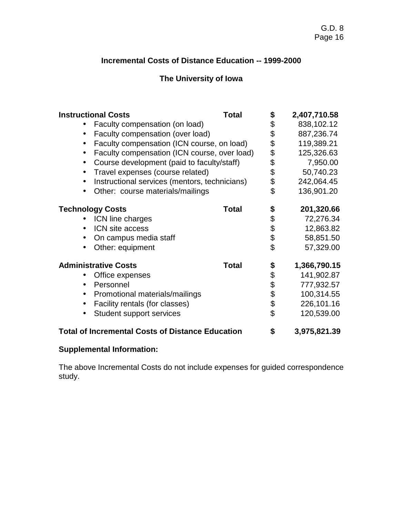# **Incremental Costs of Distance Education -- 1999-2000**

# **The University of Iowa**

| <b>Instructional Costs</b>                              | <b>Total</b> | \$       | 2,407,710.58 |
|---------------------------------------------------------|--------------|----------|--------------|
| Faculty compensation (on load)<br>$\bullet$             |              | \$       | 838,102.12   |
| Faculty compensation (over load)<br>$\bullet$           |              | \$       | 887,236.74   |
| Faculty compensation (ICN course, on load)              |              | \$       | 119,389.21   |
| Faculty compensation (ICN course, over load)            |              |          | 125,326.63   |
| Course development (paid to faculty/staff)<br>$\bullet$ |              |          | 7,950.00     |
| Travel expenses (course related)<br>$\bullet$           |              | \$\$\$\$ | 50,740.23    |
| Instructional services (mentors, technicians)           |              |          | 242,064.45   |
| Other: course materials/mailings<br>$\bullet$           |              | \$       | 136,901.20   |
| <b>Technology Costs</b>                                 | <b>Total</b> | \$       | 201,320.66   |
| ICN line charges                                        |              |          | 72,276.34    |
| ICN site access                                         |              | \$\$\$\$ | 12,863.82    |
| On campus media staff                                   |              |          | 58,851.50    |
| Other: equipment                                        |              |          | 57,329.00    |
| <b>Administrative Costs</b>                             | <b>Total</b> | \$       | 1,366,790.15 |
| Office expenses                                         |              |          | 141,902.87   |
| Personnel                                               |              | \$\$     | 777,932.57   |
| Promotional materials/mailings<br>$\bullet$             |              |          | 100,314.55   |
| Facility rentals (for classes)<br>$\bullet$             |              | \$       | 226,101.16   |
| <b>Student support services</b>                         |              | \$       | 120,539.00   |
| <b>Total of Incremental Costs of Distance Education</b> |              | \$       | 3,975,821.39 |

# **Supplemental Information:**

The above Incremental Costs do not include expenses for guided correspondence study.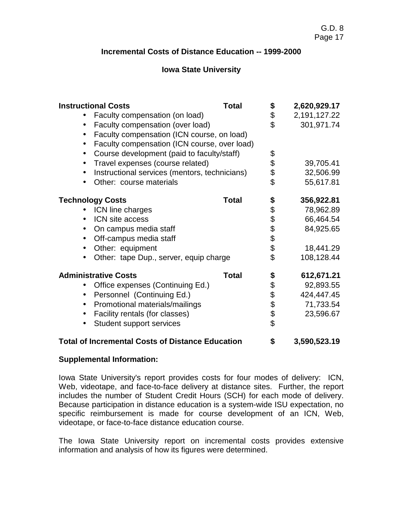# **Incremental Costs of Distance Education -- 1999-2000**

# **Iowa State University**

| <b>Instructional Costs</b>                                | <b>Total</b> | \$             | 2,620,929.17 |
|-----------------------------------------------------------|--------------|----------------|--------------|
| Faculty compensation (on load)                            |              | \$             | 2,191,127.22 |
| Faculty compensation (over load)<br>$\bullet$             |              | \$             | 301,971.74   |
| Faculty compensation (ICN course, on load)<br>$\bullet$   |              |                |              |
| Faculty compensation (ICN course, over load)<br>$\bullet$ |              |                |              |
| Course development (paid to faculty/staff)                |              | \$             |              |
| Travel expenses (course related)                          |              |                | 39,705.41    |
| Instructional services (mentors, technicians)             |              |                | 32,506.99    |
| Other: course materials                                   |              | \$\$           | 55,617.81    |
|                                                           |              |                |              |
| <b>Technology Costs</b>                                   | <b>Total</b> |                | 356,922.81   |
| ICN line charges                                          |              |                | 78,962.89    |
| ICN site access                                           |              |                | 66,464.54    |
| On campus media staff                                     |              | \$\$\$\$\$\$\$ | 84,925.65    |
| Off-campus media staff                                    |              |                |              |
| Other: equipment                                          |              |                | 18,441.29    |
| Other: tape Dup., server, equip charge                    |              | \$             | 108,128.44   |
| <b>Administrative Costs</b>                               | <b>Total</b> | \$             | 612,671.21   |
| Office expenses (Continuing Ed.)                          |              |                | 92,893.55    |
| Personnel (Continuing Ed.)                                |              |                | 424,447.45   |
| Promotional materials/mailings                            |              |                | 71,733.54    |
| Facility rentals (for classes)                            |              | 88888          | 23,596.67    |
| Student support services                                  |              |                |              |
| <b>Total of Incremental Costs of Distance Education</b>   |              | \$             | 3,590,523.19 |

### **Supplemental Information:**

Iowa State University's report provides costs for four modes of delivery: ICN, Web, videotape, and face-to-face delivery at distance sites. Further, the report includes the number of Student Credit Hours (SCH) for each mode of delivery. Because participation in distance education is a system-wide ISU expectation, no specific reimbursement is made for course development of an ICN, Web, videotape, or face-to-face distance education course.

The Iowa State University report on incremental costs provides extensive information and analysis of how its figures were determined.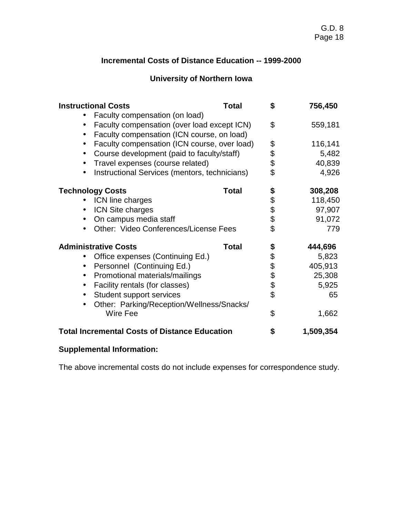# **Incremental Costs of Distance Education -- 1999-2000**

# **University of Northern Iowa**

| <b>Instructional Costs</b>                                | <b>Total</b> | \$       | 756,450   |
|-----------------------------------------------------------|--------------|----------|-----------|
| Faculty compensation (on load)                            |              |          |           |
| Faculty compensation (over load except ICN)<br>$\bullet$  |              | \$       | 559,181   |
| Faculty compensation (ICN course, on load)                |              |          |           |
| Faculty compensation (ICN course, over load)<br>$\bullet$ |              |          | 116,141   |
| Course development (paid to faculty/staff)                |              |          | 5,482     |
| Travel expenses (course related)                          |              | \$\$\$\$ | 40,839    |
| Instructional Services (mentors, technicians)             |              |          | 4,926     |
| <b>Technology Costs</b>                                   | <b>Total</b> | \$       | 308,208   |
| ICN line charges                                          |              | \$\$\$\$ | 118,450   |
| ICN Site charges                                          |              |          | 97,907    |
| On campus media staff                                     |              |          | 91,072    |
| Other: Video Conferences/License Fees                     |              |          | 779       |
| <b>Administrative Costs</b>                               | <b>Total</b> | \$       | 444,696   |
| Office expenses (Continuing Ed.)                          |              |          | 5,823     |
| Personnel (Continuing Ed.)<br>$\bullet$                   |              | 88888    | 405,913   |
| Promotional materials/mailings<br>$\bullet$               |              |          | 25,308    |
| Facility rentals (for classes)<br>$\bullet$               |              |          | 5,925     |
| <b>Student support services</b><br>$\bullet$              |              |          | 65        |
| Other: Parking/Reception/Wellness/Snacks/<br>$\bullet$    |              |          |           |
| Wire Fee                                                  |              | \$       | 1,662     |
| <b>Total Incremental Costs of Distance Education</b>      |              | \$       | 1,509,354 |

# **Supplemental Information:**

The above incremental costs do not include expenses for correspondence study.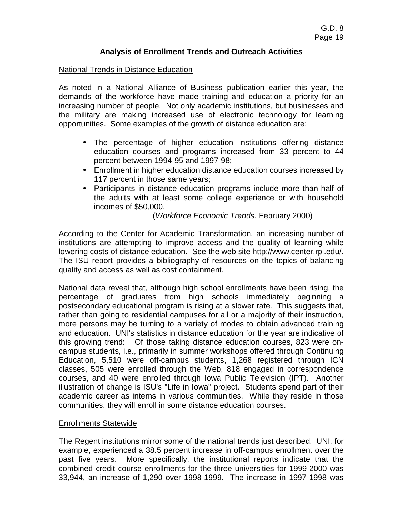### **Analysis of Enrollment Trends and Outreach Activities**

### National Trends in Distance Education

As noted in a National Alliance of Business publication earlier this year, the demands of the workforce have made training and education a priority for an increasing number of people. Not only academic institutions, but businesses and the military are making increased use of electronic technology for learning opportunities. Some examples of the growth of distance education are:

- The percentage of higher education institutions offering distance education courses and programs increased from 33 percent to 44 percent between 1994-95 and 1997-98;
- Enrollment in higher education distance education courses increased by 117 percent in those same years;
- Participants in distance education programs include more than half of the adults with at least some college experience or with household incomes of \$50,000.

(*Workforce Economic Trends*, February 2000)

According to the Center for Academic Transformation, an increasing number of institutions are attempting to improve access and the quality of learning while lowering costs of distance education. See the web site http://www.center.rpi.edu/. The ISU report provides a bibliography of resources on the topics of balancing quality and access as well as cost containment.

National data reveal that, although high school enrollments have been rising, the percentage of graduates from high schools immediately beginning a postsecondary educational program is rising at a slower rate. This suggests that, rather than going to residential campuses for all or a majority of their instruction, more persons may be turning to a variety of modes to obtain advanced training and education. UNI's statistics in distance education for the year are indicative of this growing trend: Of those taking distance education courses, 823 were oncampus students, i.e., primarily in summer workshops offered through Continuing Education, 5,510 were off-campus students, 1,268 registered through ICN classes, 505 were enrolled through the Web, 818 engaged in correspondence courses, and 40 were enrolled through Iowa Public Television (IPT). Another illustration of change is ISU's "Life in Iowa" project. Students spend part of their academic career as interns in various communities. While they reside in those communities, they will enroll in some distance education courses.

### Enrollments Statewide

The Regent institutions mirror some of the national trends just described. UNI, for example, experienced a 38.5 percent increase in off-campus enrollment over the past five years. More specifically, the institutional reports indicate that the combined credit course enrollments for the three universities for 1999-2000 was 33,944, an increase of 1,290 over 1998-1999. The increase in 1997-1998 was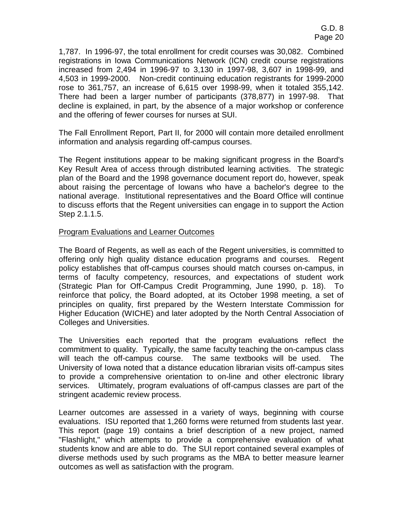1,787. In 1996-97, the total enrollment for credit courses was 30,082. Combined registrations in Iowa Communications Network (ICN) credit course registrations increased from 2,494 in 1996-97 to 3,130 in 1997-98, 3,607 in 1998-99, and 4,503 in 1999-2000. Non-credit continuing education registrants for 1999-2000 rose to 361,757, an increase of 6,615 over 1998-99, when it totaled 355,142. There had been a larger number of participants (378,877) in 1997-98. That decline is explained, in part, by the absence of a major workshop or conference and the offering of fewer courses for nurses at SUI.

The Fall Enrollment Report, Part II, for 2000 will contain more detailed enrollment information and analysis regarding off-campus courses.

The Regent institutions appear to be making significant progress in the Board's Key Result Area of access through distributed learning activities. The strategic plan of the Board and the 1998 governance document report do, however, speak about raising the percentage of Iowans who have a bachelor's degree to the national average. Institutional representatives and the Board Office will continue to discuss efforts that the Regent universities can engage in to support the Action Step 2.1.1.5.

### Program Evaluations and Learner Outcomes

The Board of Regents, as well as each of the Regent universities, is committed to offering only high quality distance education programs and courses. Regent policy establishes that off-campus courses should match courses on-campus, in terms of faculty competency, resources, and expectations of student work (Strategic Plan for Off-Campus Credit Programming, June 1990, p. 18). To reinforce that policy, the Board adopted, at its October 1998 meeting, a set of principles on quality, first prepared by the Western Interstate Commission for Higher Education (WICHE) and later adopted by the North Central Association of Colleges and Universities.

The Universities each reported that the program evaluations reflect the commitment to quality. Typically, the same faculty teaching the on-campus class will teach the off-campus course. The same textbooks will be used. The University of Iowa noted that a distance education librarian visits off-campus sites to provide a comprehensive orientation to on-line and other electronic library services. Ultimately, program evaluations of off-campus classes are part of the stringent academic review process.

Learner outcomes are assessed in a variety of ways, beginning with course evaluations. ISU reported that 1,260 forms were returned from students last year. This report (page 19) contains a brief description of a new project, named "Flashlight," which attempts to provide a comprehensive evaluation of what students know and are able to do. The SUI report contained several examples of diverse methods used by such programs as the MBA to better measure learner outcomes as well as satisfaction with the program.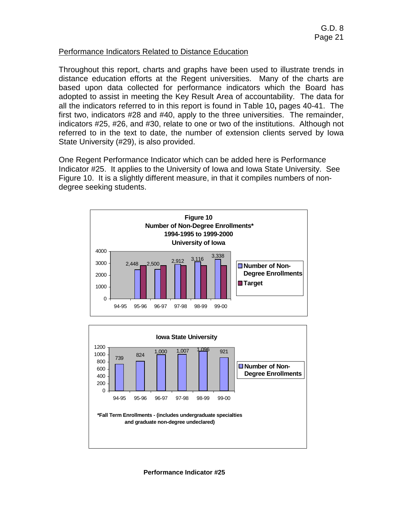### Performance Indicators Related to Distance Education

Throughout this report, charts and graphs have been used to illustrate trends in distance education efforts at the Regent universities. Many of the charts are based upon data collected for performance indicators which the Board has adopted to assist in meeting the Key Result Area of accountability. The data for all the indicators referred to in this report is found in Table 10**,** pages 40-41. The first two, indicators #28 and #40, apply to the three universities. The remainder, indicators #25, #26, and #30, relate to one or two of the institutions. Although not referred to in the text to date, the number of extension clients served by Iowa State University (#29), is also provided.

One Regent Performance Indicator which can be added here is Performance Indicator #25. It applies to the University of Iowa and Iowa State University. See Figure 10. It is a slightly different measure, in that it compiles numbers of nondegree seeking students.





 **Performance Indicator #25**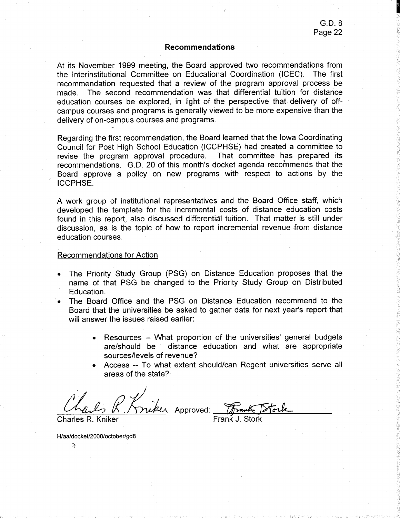#### **Recommendations**

At its November 1999 meeting, the Board approved two recommendations from the Interinstitutional Committee on Educational Coordination (ICEC). The first recommendation requested that a review of the program approval process be made. The second recommendation was that differential tuition for distance education courses be explored, in light of the perspective that delivery of offcampus courses and programs is generally viewed to be more expensive than the delivery of on-campus courses and programs.

Regarding the first recommendation, the Board learned that the lowa Coordinating Council for Post High School Education (ICCPHSE) had created a committee to revise the program approval procedure. That committee has prepared its recommendations. G.D. 20 of this month's docket agenda recommends that the Board approve a policy on new programs with respect to actions by the ICCPHSE.

A work group of institutional representatives and the Board Office staff, which developed the template for the incremental costs of distance education costs found in this report, also discussed differential tuition. That matter is still under discussion, as is the topic of how to report incremental revenue from distance education courses.

#### Recommendations for Action

- The Priority Study Group (PSG) on Distance Education proposes that the name of that PSG be changed to the Priority Study Group on Distributed Education.
- The Board Office and the PSG on Distance Education recommend to the Board that the universities be asked to gather data for next year's report that will answer the issues raised earlier:
	- Resources -- What proportion of the universities' general budgets are/should be distance education and what are appropriate sources/levels of revenue?
	- Access -- To what extent should/can Regent universities serve all areas of the state?

miker Approved:

H/aa/docket/2000/october/gd8

 $\sum_{\alpha\in\mathcal{C}}$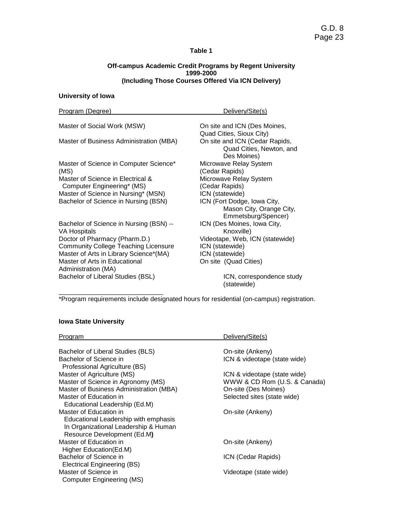#### **Off-campus Academic Credit Programs by Regent University 1999-2000 (Including Those Courses Offered Via ICN Delivery)**

### **University of Iowa**

| Program (Degree)                            | Delivery/Site(s)                |
|---------------------------------------------|---------------------------------|
| Master of Social Work (MSW)                 | On site and ICN (Des Moines,    |
|                                             | Quad Cities, Sioux City)        |
| Master of Business Administration (MBA)     | On site and ICN (Cedar Rapids,  |
|                                             | Quad Cities, Newton, and        |
|                                             | Des Moines)                     |
| Master of Science in Computer Science*      | Microwave Relay System          |
| (MS)                                        | (Cedar Rapids)                  |
| Master of Science in Electrical &           | Microwave Relay System          |
| Computer Engineering* (MS)                  | (Cedar Rapids)                  |
| Master of Science in Nursing* (MSN)         | ICN (statewide)                 |
| Bachelor of Science in Nursing (BSN)        | ICN (Fort Dodge, Iowa City,     |
|                                             | Mason City, Orange City,        |
|                                             | Emmetsburg/Spencer)             |
| Bachelor of Science in Nursing (BSN) --     | ICN (Des Moines, Iowa City,     |
| <b>VA Hospitals</b>                         | Knoxville)                      |
| Doctor of Pharmacy (Pharm.D.)               | Videotape, Web, ICN (statewide) |
| <b>Community College Teaching Licensure</b> | ICN (statewide)                 |
| Master of Arts in Library Science*(MA)      | ICN (statewide)                 |
| Master of Arts in Educational               | On site (Quad Cities)           |
| Administration (MA)                         |                                 |
| Bachelor of Liberal Studies (BSL)           | ICN, correspondence study       |

(statewide)

\*Program requirements include designated hours for residential (on-campus) registration.

### **Iowa State University**

\_\_\_\_\_\_\_\_\_\_\_\_\_\_\_\_\_\_\_\_\_\_\_\_\_\_\_\_\_

| <b>Program</b>                          | Delivery/Site(s)             |
|-----------------------------------------|------------------------------|
|                                         |                              |
| Bachelor of Liberal Studies (BLS)       | On-site (Ankeny)             |
| Bachelor of Science in                  | ICN & videotape (state wide) |
| Professional Agriculture (BS)           |                              |
| Master of Agriculture (MS)              | ICN & videotape (state wide) |
| Master of Science in Agronomy (MS)      | WWW & CD Rom (U.S. & Canada) |
| Master of Business Administration (MBA) | On-site (Des Moines)         |
| Master of Education in                  | Selected sites (state wide)  |
| Educational Leadership (Ed.M)           |                              |
| Master of Education in                  | On-site (Ankeny)             |
| Educational Leadership with emphasis    |                              |
| In Organizational Leadership & Human    |                              |
| Resource Development (Ed.M)             |                              |
| Master of Education in                  | On-site (Ankeny)             |
| Higher Education (Ed.M)                 |                              |
| Bachelor of Science in                  | ICN (Cedar Rapids)           |
| Electrical Engineering (BS)             |                              |
| Master of Science in                    | Videotape (state wide)       |
| Computer Engineering (MS)               |                              |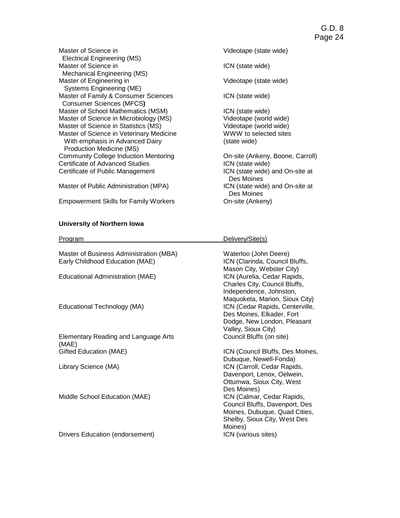Master of Science in **Videotape (state wide)**  Electrical Engineering (MS) Master of Science in ICN (state wide) Mechanical Engineering (MS) Master of Engineering in Videotape (state wide) Systems Engineering (ME) Master of Family & Consumer Sciences **ICN** (state wide) Consumer Sciences (MFCS**)** Master of School Mathematics (MSM)<br>
Master of Science in Microbiology (MS) Videotape (world wide) Master of Science in Microbiology (MS) Master of Science in Statistics (MS) Videotape (world wide)<br>
Master of Science in Veterinary Medicine<br>
WWW to selected sites Master of Science in Veterinary Medicine<br>
WWW to se<br>
With emphasis in Advanced Dairy
(state wide) With emphasis in Advanced Dairy Production Medicine (MS) Community College Induction Mentoring **Community College Induction Mentoring** On-site (Ankeny, Boone, Carroll) Certificate of Advanced Studies **ICN** (state wide) Certificate of Public Management **ICN** (state wide) and On-site at

Master of Public Administration (MPA) **ICN** (state wide) and On-site at

Empowerment Skills for Family Workers

#### **University of Northern Iowa**

 Des Moines Des Moines<br>On-site (Ankeny)

| <b>Program</b>                                | Delivery/Site(s)                 |
|-----------------------------------------------|----------------------------------|
|                                               |                                  |
| Master of Business Administration (MBA)       | Waterloo (John Deere)            |
| Early Childhood Education (MAE)               | ICN (Clarinda, Council Bluffs,   |
|                                               | Mason City, Webster City)        |
| Educational Administration (MAE)              | ICN (Aurelia, Cedar Rapids,      |
|                                               | Charles City, Council Bluffs,    |
|                                               | Independence, Johnston,          |
|                                               | Maquoketa, Marion, Sioux City)   |
| Educational Technology (MA)                   | ICN (Cedar Rapids, Centerville,  |
|                                               | Des Moines, Elkader, Fort        |
|                                               | Dodge, New London, Pleasant      |
|                                               | Valley, Sioux City)              |
| Elementary Reading and Language Arts<br>(MAE) | Council Bluffs (on site)         |
| Gifted Education (MAE)                        | ICN (Council Bluffs, Des Moines, |
|                                               | Dubuque, Newell-Fonda)           |
| Library Science (MA)                          | ICN (Carroll, Cedar Rapids,      |
|                                               | Davenport, Lenox, Oelwein,       |
|                                               | Ottumwa, Sioux City, West        |
|                                               | Des Moines)                      |
| Middle School Education (MAE)                 | ICN (Calmar, Cedar Rapids,       |
|                                               | Council Bluffs, Davenport, Des   |
|                                               | Moines, Dubuque, Quad Cities,    |
|                                               | Shelby, Sioux City, West Des     |
|                                               | Moines)                          |
| Drivers Education (endorsement)               | ICN (various sites)              |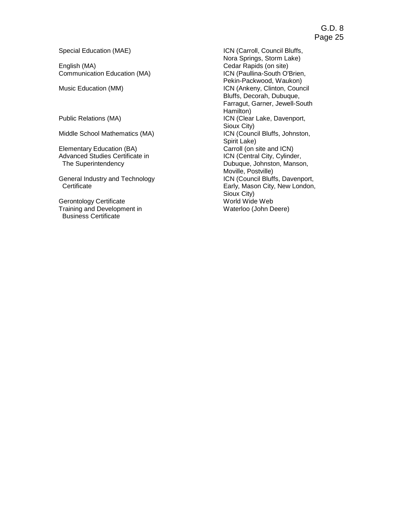Special Education (MAE) Special Education (MAE) Special Education (MAE) Special Education (MAE)

English (MA)<br>
Cedar Rapids (on site)<br>
Communication Education (MA)<br>
CN (Paullina-South O'Brien, Communication Education (MA)

Sioux City)<br>Middle School Mathematics (MA) Sioux City (Counce

Elementary Education (BA)<br>
Advanced Studies Certificate in 
Carroll (on site and ICN)<br>
ICN (Central City, Cylinder, Advanced Studies Certificate in<br>The Superintendency

General Industry and Technology

Gerontology Certificate<br>
Training and Development in<br>
Waterloo (John Deere) Training and Development in Business Certificate

 Nora Springs, Storm Lake) Pekin-Packwood, Waukon) Music Education (MM) **ICN** (Ankeny, Clinton, Council Bluffs, Decorah, Dubuque, Farragut, Garner, Jewell-South Public Relations (MA) <br>Public Relations (MA) details and the set of the Hamilton) ICN (Clear Lake, Davenport, ICN (Council Bluffs, Johnston, Spirit Lake) Dubuque, Johnston, Manson, Moville, Postville)<br>ICN (Council Bluffs, Davenport, Certificate **Early, Mason City, New London,** Sioux City)<br>World Wide Web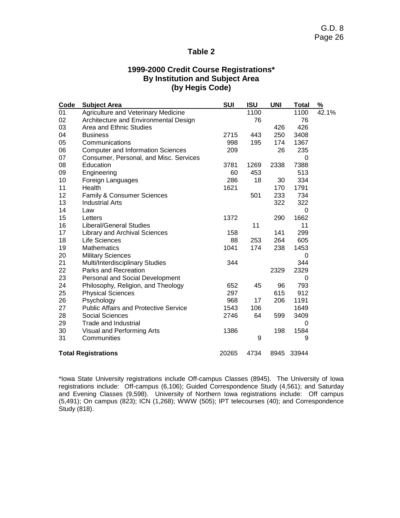# **1999-2000 Credit Course Registrations\* By Institution and Subject Area (by Hegis Code)**

| Code | <b>Subject Area</b>                          | <b>SUI</b> | <b>ISU</b> | <b>UNI</b> | <b>Total</b> | $\frac{9}{6}$ |
|------|----------------------------------------------|------------|------------|------------|--------------|---------------|
| 01   | Agriculture and Veterinary Medicine          |            | 1100       |            | 1100         | 42.1%         |
| 02   | Architecture and Environmental Design        |            | 76         |            | 76           |               |
| 03   | Area and Ethnic Studies                      |            |            | 426        | 426          |               |
| 04   | <b>Business</b>                              | 2715       | 443        | 250        | 3408         |               |
| 05   | Communications                               | 998        | 195        | 174        | 1367         |               |
| 06   | <b>Computer and Information Sciences</b>     | 209        |            | 26         | 235          |               |
| 07   | Consumer, Personal, and Misc. Services       |            |            |            | 0            |               |
| 08   | Education                                    | 3781       | 1269       | 2338       | 7388         |               |
| 09   | Engineering                                  | 60         | 453        |            | 513          |               |
| 10   | Foreign Languages                            | 286        | 18         | 30         | 334          |               |
| 11   | Health                                       | 1621       |            | 170        | 1791         |               |
| 12   | Family & Consumer Sciences                   |            | 501        | 233        | 734          |               |
| 13   | <b>Industrial Arts</b>                       |            |            | 322        | 322          |               |
| 14   | Law                                          |            |            |            | 0            |               |
| 15   | Letters                                      | 1372       |            | 290        | 1662         |               |
| 16   | <b>Liberal/General Studies</b>               |            | 11         |            | 11           |               |
| 17   | <b>Library and Archival Sciences</b>         | 158        |            | 141        | 299          |               |
| 18   | <b>Life Sciences</b>                         | 88         | 253        | 264        | 605          |               |
| 19   | <b>Mathematics</b>                           | 1041       | 174        | 238        | 1453         |               |
| 20   | <b>Military Sciences</b>                     |            |            |            | 0            |               |
| 21   | Multi/Interdisciplinary Studies              | 344        |            |            | 344          |               |
| 22   | Parks and Recreation                         |            |            | 2329       | 2329         |               |
| 23   | Personal and Social Development              |            |            |            | 0            |               |
| 24   | Philosophy, Religion, and Theology           | 652        | 45         | 96         | 793          |               |
| 25   | <b>Physical Sciences</b>                     | 297        |            | 615        | 912          |               |
| 26   | Psychology                                   | 968        | 17         | 206        | 1191         |               |
| 27   | <b>Public Affairs and Protective Service</b> | 1543       | 106        |            | 1649         |               |
| 28   | <b>Social Sciences</b>                       | 2746       | 64         | 599        | 3409         |               |
| 29   | <b>Trade and Industrial</b>                  |            |            |            | 0            |               |
| 30   | Visual and Performing Arts                   | 1386       |            | 198        | 1584         |               |
| 31   | Communities                                  |            | 9          |            | 9            |               |
|      | <b>Total Registrations</b>                   | 20265      | 4734       | 8945       | 33944        |               |

\*Iowa State University registrations include Off-campus Classes (8945). The University of Iowa registrations include: Off-campus (6,106); Guided Correspondence Study (4,561); and Saturday and Evening Classes (9,598). University of Northern Iowa registrations include: Off campus (5,491); On campus (823); ICN (1,268); WWW (505); IPT telecourses (40); and Correspondence Study (818).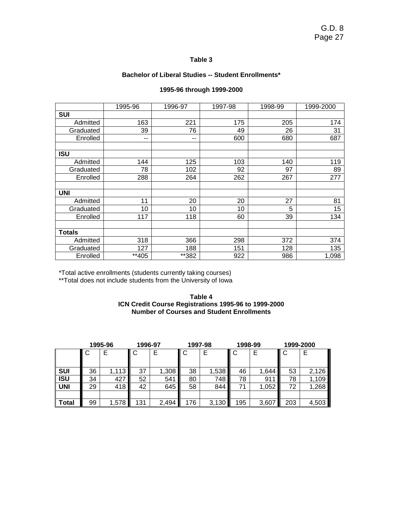#### **Bachelor of Liberal Studies -- Student Enrollments\***

|               | 1995-96 | 1996-97 | 1997-98 | 1998-99 | 1999-2000 |
|---------------|---------|---------|---------|---------|-----------|
| <b>SUI</b>    |         |         |         |         |           |
| Admitted      | 163     | 221     | 175     | 205     | 174       |
| Graduated     | 39      | 76      | 49      | 26      | 31        |
| Enrolled      | --      | --      | 600     | 680     | 687       |
|               |         |         |         |         |           |
| <b>ISU</b>    |         |         |         |         |           |
| Admitted      | 144     | 125     | 103     | 140     | 119       |
| Graduated     | 78      | 102     | 92      | 97      | 89        |
| Enrolled      | 288     | 264     | 262     | 267     | 277       |
|               |         |         |         |         |           |
| <b>UNI</b>    |         |         |         |         |           |
| Admitted      | 11      | 20      | 20      | 27      | 81        |
| Graduated     | 10      | 10      | 10      | 5       | 15        |
| Enrolled      | 117     | 118     | 60      | 39      | 134       |
|               |         |         |         |         |           |
| <b>Totals</b> |         |         |         |         |           |
| Admitted      | 318     | 366     | 298     | 372     | 374       |
| Graduated     | 127     | 188     | 151     | 128     | 135       |
| Enrolled      | **405   | **382   | 922     | 986     | 1,098     |

#### **1995-96 through 1999-2000**

\*Total active enrollments (students currently taking courses)

\*\*Total does not include students from the University of Iowa

**Table 4 ICN Credit Course Registrations 1995-96 to 1999-2000 Number of Courses and Student Enrollments** 

|              |    | 1995-96 | 1996-97 |       | 1997-98 |       | 1998-99 |       | 1999-2000 |       |
|--------------|----|---------|---------|-------|---------|-------|---------|-------|-----------|-------|
|              | ◡  |         | ◡       |       | C       |       |         |       | II C      | Е     |
|              |    |         |         |       |         |       |         |       |           |       |
| <b>SUI</b>   | 36 | 1,113   | 37      | 1,308 | 38      | 1,538 | 46      | 1,644 | 53        | 2,126 |
| <b>ISU</b>   | 34 | 427     | 52      | 541   | 80      | 748   | 78      | 911   | 78        | 1,109 |
| <b>UNI</b>   | 29 | 418     | 42      | 645   | 58      | 844   | 71      | 1,052 | 72        | ,268  |
|              |    |         |         |       |         |       |         |       |           |       |
| <b>Total</b> | 99 | 1,578   | 131     | 2,494 | 176     | 3,130 | 195     | 3,607 | 203       | 4,503 |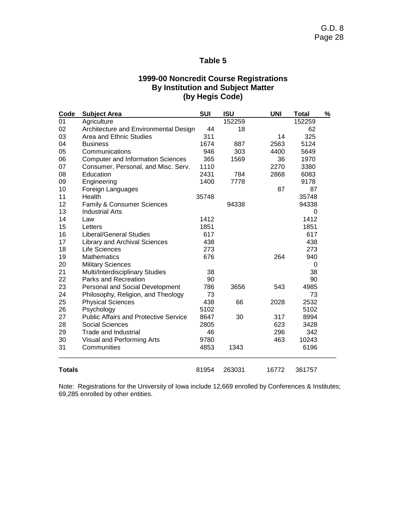### **1999-00 Noncredit Course Registrations By Institution and Subject Matter (by Hegis Code)**

| Code          | <b>Subject Area</b>                          | <b>SUI</b> | <b>ISU</b> | <b>UNI</b> | <b>Total</b> | % |
|---------------|----------------------------------------------|------------|------------|------------|--------------|---|
| 01            | Agriculture                                  |            | 152259     |            | 152259       |   |
| 02            | Architecture and Environmental Design        | 44         | 18         |            | 62           |   |
| 03            | Area and Ethnic Studies                      | 311        |            | 14         | 325          |   |
| 04            | <b>Business</b>                              | 1674       | 887        | 2563       | 5124         |   |
| 05            | Communications                               | 946        | 303        | 4400       | 5649         |   |
| 06            | <b>Computer and Information Sciences</b>     | 365        | 1569       | 36         | 1970         |   |
| 07            | Consumer, Personal, and Misc. Serv.          | 1110       |            | 2270       | 3380         |   |
| 08            | Education                                    | 2431       | 784        | 2868       | 6083         |   |
| 09            | Engineering                                  | 1400       | 7778       |            | 9178         |   |
| 10            | Foreign Languages                            |            |            | 87         | 87           |   |
| 11            | Health                                       | 35748      |            |            | 35748        |   |
| 12            | Family & Consumer Sciences                   |            | 94338      |            | 94338        |   |
| 13            | <b>Industrial Arts</b>                       |            |            |            | 0            |   |
| 14            | Law                                          | 1412       |            |            | 1412         |   |
| 15            | Letters                                      | 1851       |            |            | 1851         |   |
| 16            | <b>Liberal/General Studies</b>               | 617        |            |            | 617          |   |
| 17            | <b>Library and Archival Sciences</b>         | 438        |            |            | 438          |   |
| 18            | Life Sciences                                | 273        |            |            | 273          |   |
| 19            | <b>Mathematics</b>                           | 676        |            | 264        | 940          |   |
| 20            | <b>Military Sciences</b>                     |            |            |            | 0            |   |
| 21            | Multi/Interdisciplinary Studies              | 38         |            |            | 38           |   |
| 22            | Parks and Recreation                         | 90         |            |            | 90           |   |
| 23            | Personal and Social Development              | 786        | 3656       | 543        | 4985         |   |
| 24            | Philosophy, Religion, and Theology           | 73         |            |            | 73           |   |
| 25            | <b>Physical Sciences</b>                     | 438        | 66         | 2028       | 2532         |   |
| 26            | Psychology                                   | 5102       |            |            | 5102         |   |
| 27            | <b>Public Affairs and Protective Service</b> | 8647       | 30         | 317        | 8994         |   |
| 28            | <b>Social Sciences</b>                       | 2805       |            | 623        | 3428         |   |
| 29            | Trade and Industrial                         | 46         |            | 296        | 342          |   |
| 30            | Visual and Performing Arts                   | 9780       |            | 463        | 10243        |   |
| 31            | Communities                                  | 4853       | 1343       |            | 6196         |   |
| <b>Totals</b> |                                              | 81954      | 263031     | 16772      | 361757       |   |

Note: Registrations for the University of Iowa include 12,669 enrolled by Conferences & Institutes; 69,285 enrolled by other entities.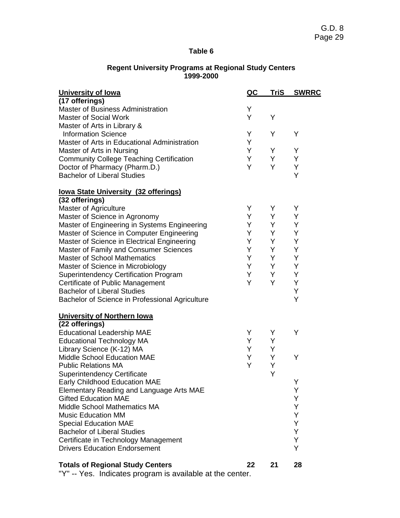#### **Regent University Programs at Regional Study Centers 1999-2000**

| <b>University of lowa</b>                               | <u>QC</u> | <b>TriS</b> | <b>SWRRC</b> |
|---------------------------------------------------------|-----------|-------------|--------------|
| (17 offerings)                                          |           |             |              |
| Master of Business Administration                       | Y         |             |              |
| <b>Master of Social Work</b>                            | Y         | Y           |              |
| Master of Arts in Library &                             |           |             |              |
| <b>Information Science</b>                              | Y         | Y           | Y            |
| Master of Arts in Educational Administration            | Y         |             |              |
| Master of Arts in Nursing                               | Y         | Y           | Y            |
| <b>Community College Teaching Certification</b>         | Y         | Y           | Y            |
| Doctor of Pharmacy (Pharm.D.)                           | Y         | Y           | Υ            |
| <b>Bachelor of Liberal Studies</b>                      |           |             | Y            |
| <b>lowa State University (32 offerings)</b>             |           |             |              |
| (32 offerings)                                          |           |             |              |
| Master of Agriculture                                   | Υ         | Y           | Y            |
| Master of Science in Agronomy                           | Y.        | Y           | Υ            |
| Master of Engineering in Systems Engineering            | Y.        | Y           | Y            |
| Master of Science in Computer Engineering               | Y.        | Y           | Y            |
| Master of Science in Electrical Engineering             | Y         | Y           | Y            |
| Master of Family and Consumer Sciences                  | Y         | Y           | Y            |
| <b>Master of School Mathematics</b>                     | Y.        | Y           | Υ            |
| Master of Science in Microbiology                       | Y         | Y           | Y            |
| <b>Superintendency Certification Program</b>            | Y         | Y           | Υ            |
| Certificate of Public Management                        | Y         | Y           | Υ            |
| <b>Bachelor of Liberal Studies</b>                      |           |             | Υ            |
| Bachelor of Science in Professional Agriculture         |           |             | Y            |
| <b>University of Northern Iowa</b>                      |           |             |              |
| (22 offerings)                                          |           |             |              |
| <b>Educational Leadership MAE</b>                       | Y         | Y           | Υ            |
| <b>Educational Technology MA</b>                        | Y         | Y           |              |
| Library Science (K-12) MA                               | Y         | Y           |              |
| <b>Middle School Education MAE</b>                      | Y         | Y           | Υ            |
| <b>Public Relations MA</b>                              | Y         | Υ           |              |
| <b>Superintendency Certificate</b>                      |           | Y           |              |
| <b>Early Childhood Education MAE</b>                    |           |             | Y            |
| Elementary Reading and Language Arts MAE                |           |             | Υ            |
| <b>Gifted Education MAE</b>                             |           |             | Y            |
| <b>Middle School Mathematics MA</b>                     |           |             | Y            |
| <b>Music Education MM</b>                               |           |             | Y            |
| <b>Special Education MAE</b>                            |           |             | Y            |
| <b>Bachelor of Liberal Studies</b>                      |           |             | Υ            |
| Certificate in Technology Management                    |           |             | Υ            |
| <b>Drivers Education Endorsement</b>                    |           |             | Y            |
|                                                         |           |             |              |
| <b>Totals of Regional Study Centers</b><br>منافر مرارات | 22        | 21          | 28           |

Y" -- Yes. Indicates program is available at the center.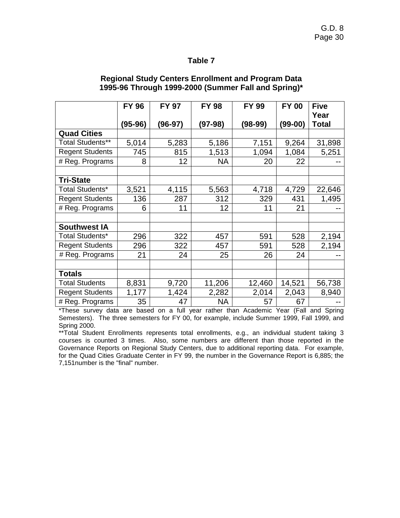|                         | <b>FY 96</b> | <b>FY 97</b> | <b>FY 98</b> | <b>FY 99</b> | <b>FY 00</b> | <b>Five</b><br>Year |
|-------------------------|--------------|--------------|--------------|--------------|--------------|---------------------|
|                         | (95-96)      | (96-97)      | $(97-98)$    | $(98-99)$    | (99-00)      | <b>Total</b>        |
| <b>Quad Cities</b>      |              |              |              |              |              |                     |
| <b>Total Students**</b> | 5,014        | 5,283        | 5,186        | 7,151        | 9,264        | 31,898              |
| <b>Regent Students</b>  | 745          | 815          | 1,513        | 1,094        | 1,084        | 5,251               |
| # Reg. Programs         | 8            | 12           | <b>NA</b>    | 20           | 22           |                     |
|                         |              |              |              |              |              |                     |
| <b>Tri-State</b>        |              |              |              |              |              |                     |
| Total Students*         | 3,521        | 4,115        | 5,563        | 4,718        | 4,729        | 22,646              |
| <b>Regent Students</b>  | 136          | 287          | 312          | 329          | 431          | 1,495               |
| # Reg. Programs         | 6            | 11           | 12           | 11           | 21           |                     |
|                         |              |              |              |              |              |                     |
| <b>Southwest IA</b>     |              |              |              |              |              |                     |
| <b>Total Students*</b>  | 296          | 322          | 457          | 591          | 528          | 2,194               |
| <b>Regent Students</b>  | 296          | 322          | 457          | 591          | 528          | 2,194               |
| # Reg. Programs         | 21           | 24           | 25           | 26           | 24           |                     |
|                         |              |              |              |              |              |                     |
| <b>Totals</b>           |              |              |              |              |              |                     |
| <b>Total Students</b>   | 8,831        | 9,720        | 11,206       | 12,460       | 14,521       | 56,738              |
| <b>Regent Students</b>  | 1,177        | 1,424        | 2,282        | 2,014        | 2,043        | 8,940               |
| # Reg. Programs         | 35           | 47           | NA           | 57           | 67           |                     |

### **Regional Study Centers Enrollment and Program Data 1995-96 Through 1999-2000 (Summer Fall and Spring)\***

\*These survey data are based on a full year rather than Academic Year (Fall and Spring Semesters). The three semesters for FY 00, for example, include Summer 1999, Fall 1999, and Spring 2000.

\*\*Total Student Enrollments represents total enrollments, e.g., an individual student taking 3 courses is counted 3 times. Also, some numbers are different than those reported in the Governance Reports on Regional Study Centers, due to additional reporting data. For example, for the Quad Cities Graduate Center in FY 99, the number in the Governance Report is 6,885; the 7,151number is the "final" number.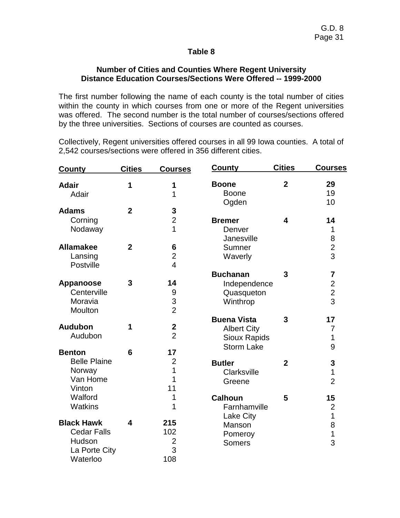## **Number of Cities and Counties Where Regent University Distance Education Courses/Sections Were Offered -- 1999-2000**

The first number following the name of each county is the total number of cities within the county in which courses from one or more of the Regent universities was offered. The second number is the total number of courses/sections offered by the three universities. Sections of courses are counted as courses.

Collectively, Regent universities offered courses in all 99 Iowa counties. A total of 2,542 courses/sections were offered in 356 different cities.

| <b>County</b>       | <b>Cities</b>  | <u>Courses</u>   | <b>County</b>       | <b>Cities</b>  | <u>Courses</u>          |
|---------------------|----------------|------------------|---------------------|----------------|-------------------------|
| <b>Adair</b>        | 1              | 1                | <b>Boone</b>        | $\overline{2}$ | 29                      |
| Adair               |                | 1                | <b>Boone</b>        |                | 19                      |
|                     |                |                  | Ogden               |                | 10                      |
| <b>Adams</b>        | $\overline{2}$ | 3                |                     |                |                         |
| Corning             |                | $\overline{2}$   | <b>Bremer</b>       | 4              | 14                      |
| Nodaway             |                | 1                | Denver              |                | 1                       |
|                     |                |                  | Janesville          |                | 8                       |
| <b>Allamakee</b>    | $\overline{2}$ | 6                | Sumner              |                | $\overline{2}$          |
| Lansing             |                | $\overline{2}$   | Waverly             |                | 3                       |
| Postville           |                | $\overline{4}$   |                     |                |                         |
|                     |                |                  | <b>Buchanan</b>     | 3              | $\overline{\mathbf{7}}$ |
| Appanoose           | 3              | 14               | Independence        |                | $\overline{c}$          |
| Centerville         |                | 9                | Quasqueton          |                | $\frac{1}{2}$           |
| Moravia             |                | 3                | Winthrop            |                |                         |
| Moulton             |                | $\overline{2}$   |                     |                |                         |
|                     |                |                  | <b>Buena Vista</b>  | 3              | 17                      |
| <b>Audubon</b>      | 1              | $\boldsymbol{2}$ | <b>Albert City</b>  |                | 7                       |
| Audubon             |                | $\overline{2}$   | <b>Sioux Rapids</b> |                | 1                       |
| <b>Benton</b>       | 6              | 17               | <b>Storm Lake</b>   |                | 9                       |
| <b>Belle Plaine</b> |                | $\overline{2}$   |                     |                |                         |
| Norway              |                | 1                | <b>Butler</b>       | $\overline{2}$ | 3                       |
| Van Home            |                | 1                | Clarksville         |                | $\mathbf{1}$            |
| Vinton              |                | 11               | Greene              |                | $\overline{2}$          |
| Walford             |                | 1                | <b>Calhoun</b>      | 5              | 15                      |
| <b>Watkins</b>      |                | 1                | Farnhamville        |                | $\overline{2}$          |
|                     |                |                  | Lake City           |                | $\overline{1}$          |
| <b>Black Hawk</b>   | 4              | 215              | Manson              |                | 8                       |
| <b>Cedar Falls</b>  |                | 102              | Pomeroy             |                | $\overline{1}$          |
| Hudson              |                | $\overline{2}$   | <b>Somers</b>       |                | 3                       |
| La Porte City       |                | 3                |                     |                |                         |
| Waterloo            |                | 108              |                     |                |                         |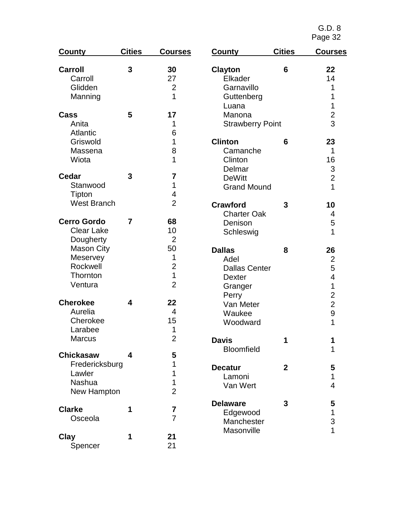| County             | <b>Cities</b>           | <b>Courses</b>          | County                  | <b>Cities</b>  | <b>Courses</b>            |
|--------------------|-------------------------|-------------------------|-------------------------|----------------|---------------------------|
| <b>Carroll</b>     | 3                       | 30                      | <b>Clayton</b>          | 6              | 22                        |
| Carroll            |                         | 27                      | Elkader                 |                | 14                        |
| Glidden            |                         | $\overline{2}$          | Garnavillo              |                | 1                         |
| Manning            |                         | 1                       | Guttenberg              |                | 1                         |
|                    |                         |                         | Luana                   |                | 1                         |
| Cass               | 5                       | 17                      | Manona                  |                | $\overline{2}$            |
| Anita              |                         | 1                       | <b>Strawberry Point</b> |                | 3                         |
| <b>Atlantic</b>    |                         | 6                       |                         |                |                           |
| Griswold           |                         | 1                       | <b>Clinton</b>          | 6              | 23                        |
| Massena            |                         | 8                       | Camanche                |                | 1                         |
| Wiota              |                         | $\overline{1}$          | Clinton                 |                | 16                        |
|                    |                         |                         | Delmar                  |                | $\ensuremath{\mathsf{3}}$ |
| <b>Cedar</b>       | 3                       | 7                       | <b>DeWitt</b>           |                | $\overline{2}$            |
| Stanwood           |                         | 1                       | <b>Grand Mound</b>      |                | 1                         |
| Tipton             |                         | 4                       |                         |                |                           |
| <b>West Branch</b> |                         | $\overline{2}$          | <b>Crawford</b>         | 3              | 10                        |
|                    |                         |                         | <b>Charter Oak</b>      |                | 4                         |
| <b>Cerro Gordo</b> | $\overline{7}$          | 68                      | Denison                 |                | 5                         |
| <b>Clear Lake</b>  |                         | 10                      | Schleswig               |                | 1                         |
| Dougherty          |                         | $\overline{2}$          |                         |                |                           |
| <b>Mason City</b>  |                         | 50                      | <b>Dallas</b>           | 8              | 26                        |
| Meservey           |                         | 1                       | Adel                    |                | $\overline{2}$            |
| Rockwell           |                         | $\mathbf{2}$            | <b>Dallas Center</b>    |                | 5                         |
| Thornton           |                         | $\mathbf 1$             | <b>Dexter</b>           |                | $\overline{\mathcal{A}}$  |
| Ventura            |                         | $\overline{2}$          | Granger                 |                | 1                         |
|                    |                         |                         | Perry                   |                | $\overline{2}$            |
| <b>Cherokee</b>    | 4                       | 22                      | Van Meter               |                | $\overline{2}$            |
| Aurelia            |                         | $\overline{4}$          | Waukee                  |                | 9                         |
| Cherokee           |                         | 15                      | Woodward                |                | 1                         |
| Larabee            |                         | 1                       |                         |                |                           |
| Marcus             |                         | $\overline{2}$          | <b>Davis</b>            | 1              | 1                         |
|                    |                         |                         | <b>Bloomfield</b>       |                | 1                         |
| <b>Chickasaw</b>   | $\overline{\mathbf{4}}$ | 5                       |                         |                |                           |
| Fredericksburg     |                         | 1                       | <b>Decatur</b>          | $\overline{2}$ | 5                         |
| Lawler             |                         | 1                       | Lamoni                  |                | 1                         |
| Nashua             |                         | 1                       | Van Wert                |                | 4                         |
| New Hampton        |                         | $\overline{2}$          |                         |                |                           |
|                    |                         |                         | <b>Delaware</b>         | 3              | 5                         |
| <b>Clarke</b>      | 1                       | $\overline{\mathbf{7}}$ | Edgewood                |                | 1                         |
| Osceola            |                         | $\overline{7}$          | Manchester              |                | 3                         |
|                    |                         |                         | Masonville              |                | 1                         |
| Clay               | 1                       | 21                      |                         |                |                           |
| Spencer            |                         | 21                      |                         |                |                           |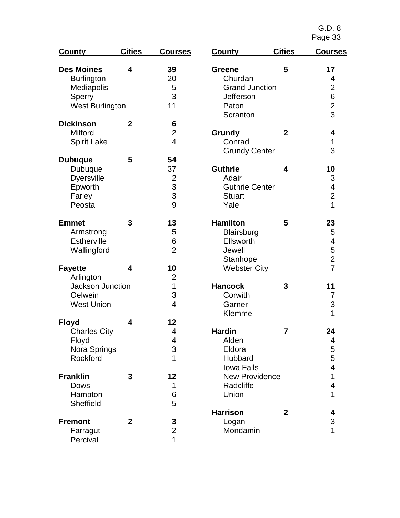| County                   | <b>Cities</b>  | <b>Courses</b>          | County                         | <b>Cities</b>  | <b>Courses</b>          |
|--------------------------|----------------|-------------------------|--------------------------------|----------------|-------------------------|
| <b>Des Moines</b>        | 4              | 39                      | <b>Greene</b>                  | 5              | 17                      |
| <b>Burlington</b>        |                | 20                      | Churdan                        |                | 4                       |
| Mediapolis               |                | 5                       | <b>Grand Junction</b>          |                | $\overline{2}$          |
| Sperry                   |                | 3                       | Jefferson                      |                | 6                       |
| West Burlington          |                | 11                      | Paton                          |                | $\overline{2}$          |
|                          |                |                         | Scranton                       |                | $\overline{3}$          |
| <b>Dickinson</b>         | $\overline{2}$ | 6                       |                                |                |                         |
| Milford                  |                | $\overline{2}$          | <b>Grundy</b>                  | $\overline{2}$ | 4                       |
| <b>Spirit Lake</b>       |                | $\overline{4}$          | Conrad<br><b>Grundy Center</b> |                | 1<br>3                  |
| <b>Dubuque</b>           | 5              | 54                      |                                |                |                         |
| <b>Dubuque</b>           |                | 37                      | <b>Guthrie</b>                 | 4              | 10                      |
| <b>Dyersville</b>        |                | $\overline{c}$          | Adair                          |                | 3                       |
| Epworth                  |                |                         | <b>Guthrie Center</b>          |                | $\overline{\mathbf{4}}$ |
| Farley                   |                | $\frac{3}{3}$           | <b>Stuart</b>                  |                | $\overline{2}$          |
| Peosta                   |                | 9                       | Yale                           |                | 1                       |
| <b>Emmet</b>             | 3              | 13                      | <b>Hamilton</b>                | 5              | 23                      |
| Armstrong                |                | 5                       | Blairsburg                     |                | 5                       |
| <b>Estherville</b>       |                | 6                       | Ellsworth                      |                | 4                       |
| Wallingford              |                | $\overline{2}$          | Jewell                         |                | 5                       |
|                          |                |                         | Stanhope                       |                | $\overline{2}$          |
| <b>Fayette</b>           | 4              | 10                      | <b>Webster City</b>            |                | $\overline{7}$          |
| Arlington                |                | $\overline{2}$          |                                |                |                         |
| Jackson Junction         |                | 1                       | <b>Hancock</b>                 | 3              | 11                      |
| Oelwein                  |                | 3                       | Corwith                        |                | 7                       |
| <b>West Union</b>        |                | $\overline{\mathbf{4}}$ | Garner                         |                | 3                       |
|                          |                |                         | Klemme                         |                | 1                       |
| <b>Floyd</b>             | 4              | 12                      |                                |                |                         |
| <b>Charles City</b>      |                | 4                       | <b>Hardin</b>                  | $\overline{7}$ | 24                      |
| Floyd                    |                | 4                       | Alden                          |                | 4                       |
| Nora Springs<br>Rockford |                | 3<br>1                  | Eldora                         |                | 5                       |
|                          |                |                         | Hubbard<br><b>Iowa Falls</b>   |                | 5<br>$\overline{4}$     |
| <b>Franklin</b>          | 3              | 12                      | <b>New Providence</b>          |                | $\mathbf{1}$            |
| <b>Dows</b>              |                | 1                       | Radcliffe                      |                | 4                       |
| Hampton                  |                | 6                       | Union                          |                | 1                       |
| Sheffield                |                | 5                       |                                |                |                         |
|                          |                |                         | <b>Harrison</b>                | $\mathbf{2}$   | 4                       |
| <b>Fremont</b>           | $\overline{2}$ | 3                       | Logan                          |                | 3                       |
| Farragut                 |                | $\overline{2}$          | Mondamin                       |                | 1                       |
| Percival                 |                | 1                       |                                |                |                         |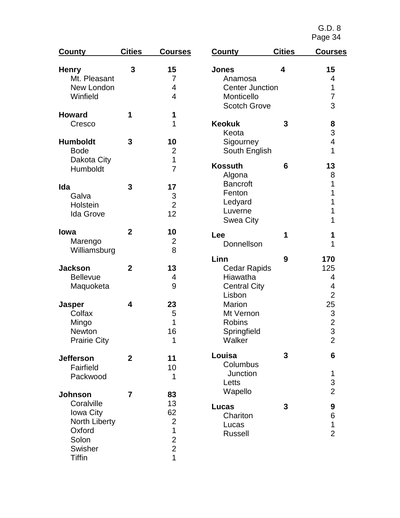| County              | <b>Cities</b>  | <b>Courses</b> | County                 | <b>Cities</b> | <b>Courses</b> |
|---------------------|----------------|----------------|------------------------|---------------|----------------|
| <b>Henry</b>        | 3              | 15             | <b>Jones</b>           | 4             | 15             |
| Mt. Pleasant        |                | 7              | Anamosa                |               | 4              |
| New London          |                | 4              | <b>Center Junction</b> |               | 1              |
| Winfield            |                | 4              | Monticello             |               | 7              |
|                     |                |                | <b>Scotch Grove</b>    |               | 3              |
| <b>Howard</b>       | 1              | 1              |                        |               |                |
| Cresco              |                | 1              | <b>Keokuk</b>          | 3             | 8              |
|                     |                |                | Keota                  |               | 3              |
| <b>Humboldt</b>     | 3              | 10             | Sigourney              |               | 4              |
| <b>Bode</b>         |                | 2              | South English          |               | 1              |
| Dakota City         |                | $\overline{1}$ |                        |               |                |
| Humboldt            |                | $\overline{7}$ | <b>Kossuth</b>         | 6             | 13             |
|                     |                |                | Algona                 |               | 8              |
| Ida                 | 3              | 17             | <b>Bancroft</b>        |               | 1              |
| Galva               |                | 3              | Fenton                 |               | 1              |
| Holstein            |                | $\overline{2}$ | Ledyard                |               | 1              |
| <b>Ida Grove</b>    |                | 12             | Luverne                |               | 1              |
|                     |                |                | <b>Swea City</b>       |               | 1              |
| lowa                | $\overline{2}$ | 10             | Lee                    | 1             | 1              |
| Marengo             |                | 2              | Donnellson             |               | 1              |
| Williamsburg        |                | 8              |                        |               |                |
|                     |                |                | Linn                   | 9             | 170            |
| <b>Jackson</b>      | $\overline{2}$ | 13             | <b>Cedar Rapids</b>    |               | 125            |
| <b>Bellevue</b>     |                | 4              | Hiawatha               |               | 4              |
| Maquoketa           |                | 9              | <b>Central City</b>    |               | 4              |
|                     |                |                | Lisbon                 |               | $\overline{2}$ |
| <b>Jasper</b>       | 4              | 23             | <b>Marion</b>          |               | 25             |
| Colfax              |                | 5              | Mt Vernon              |               | 3              |
| Mingo               |                | 1              | <b>Robins</b>          |               | $\overline{2}$ |
| <b>Newton</b>       |                | 16             | Springfield            |               | 3              |
| <b>Prairie City</b> |                | 1              | Walker                 |               | 2              |
|                     |                |                |                        |               |                |
| <b>Jefferson</b>    | $\overline{2}$ | 11             | Louisa                 | 3             | 6              |
| Fairfield           |                | 10             | Columbus               |               |                |
| Packwood            |                | 1              | Junction               |               | 1              |
|                     |                |                | Letts                  |               | 3              |
| <b>Johnson</b>      | $\overline{7}$ | 83             | Wapello                |               | $\overline{2}$ |
|                     |                |                |                        |               |                |
| Coralville          |                | 13             | Lucas                  | 3             | 9              |
| Iowa City           |                | 62             | Chariton               |               | 6              |
| North Liberty       |                | $\overline{2}$ | Lucas                  |               | 1              |
| Oxford              |                | $\overline{1}$ | <b>Russell</b>         |               | $\overline{2}$ |
| Solon               |                | $\frac{2}{2}$  |                        |               |                |
| Swisher             |                |                |                        |               |                |
| <b>Tiffin</b>       |                | $\overline{1}$ |                        |               |                |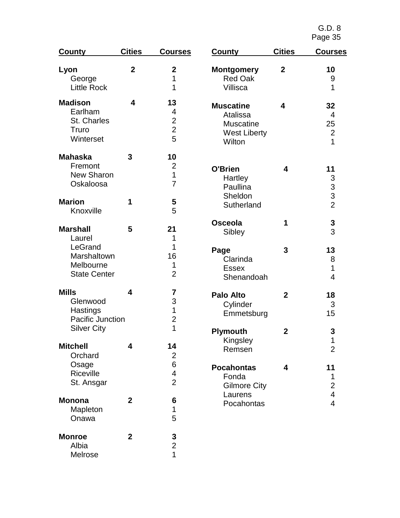| <b>County</b>                                                                           | <b>Cities</b>  | <b>Courses</b>                                     | County                                                                            | <b>Cities</b>       | <b>Courses</b>                                                             |
|-----------------------------------------------------------------------------------------|----------------|----------------------------------------------------|-----------------------------------------------------------------------------------|---------------------|----------------------------------------------------------------------------|
| Lyon<br>George<br><b>Little Rock</b>                                                    | $\overline{2}$ | $\mathbf 2$<br>1<br>1                              | <b>Montgomery</b><br><b>Red Oak</b><br>Villisca                                   | $\boldsymbol{2}$    | 10<br>9<br>1                                                               |
| <b>Madison</b><br>Earlham<br>St. Charles<br>Truro<br>Winterset                          | 4              | 13<br>4<br>$\overline{2}$<br>$\overline{2}$<br>5   | <b>Muscatine</b><br>Atalissa<br><b>Muscatine</b><br><b>West Liberty</b><br>Wilton | 4                   | 32<br>$\overline{4}$<br>25<br>$\overline{2}$<br>1                          |
| <b>Mahaska</b><br>Fremont<br>New Sharon<br>Oskaloosa<br><b>Marion</b><br>Knoxville      | 3<br>1         | 10<br>2<br>$\mathbf 1$<br>$\overline{7}$<br>5<br>5 | O'Brien<br>Hartley<br>Paullina<br>Sheldon<br>Sutherland                           | 4                   | 11<br>3<br>$\begin{array}{c} 3 \\ 2 \end{array}$                           |
| <b>Marshall</b><br>Laurel<br>LeGrand<br>Marshaltown<br>Melbourne<br><b>State Center</b> | 5              | 21<br>1<br>1<br>16<br>1<br>$\overline{2}$          | <b>Osceola</b><br>Sibley<br>Page<br>Clarinda<br><b>Essex</b>                      | 1<br>3              | 3<br>3<br>13<br>8<br>1                                                     |
| <b>Mills</b><br>Glenwood<br>Hastings<br>Pacific Junction                                | 4              | 7<br>3<br>$\mathbf 1$<br>$\overline{2}$            | Shenandoah<br><b>Palo Alto</b><br>Cylinder<br>Emmetsburg                          | $\overline{2}$      | 4<br>18<br>3<br>15                                                         |
| <b>Silver City</b><br><b>Mitchell</b><br>Orchard<br>Osage                               | 4              | 1<br>14<br>$\overline{2}$<br>6                     | <b>Plymouth</b><br>Kingsley<br>Remsen<br><b>Pocahontas</b>                        | $\overline{2}$<br>4 | 3<br>1<br>$\overline{2}$<br>11                                             |
| Riceville<br>St. Ansgar<br><b>Monona</b>                                                | $\overline{2}$ | $\overline{\mathbf{4}}$<br>$\overline{2}$<br>6     | Fonda<br><b>Gilmore City</b><br>Laurens<br>Pocahontas                             |                     | 1<br>$\overline{2}$<br>$\overline{\mathbf{4}}$<br>$\overline{\mathcal{A}}$ |
| Mapleton<br>Onawa<br><b>Monroe</b><br>Albia                                             | $\overline{2}$ | 1<br>5<br>3<br>$\overline{2}$                      |                                                                                   |                     |                                                                            |
| Melrose                                                                                 |                | 1                                                  |                                                                                   |                     |                                                                            |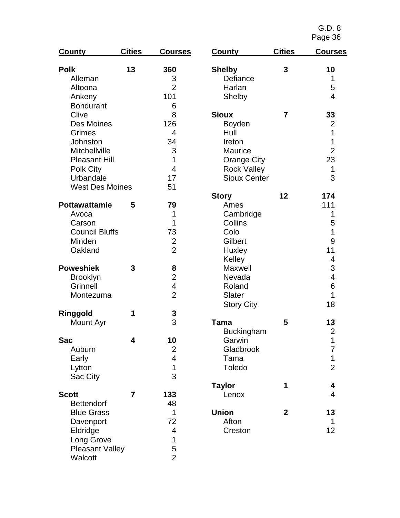| <b>County</b>          | <b>Cities</b>  | <b>Courses</b>          | <b>County</b>       | <b>Cities</b>  | <b>Courses</b>           |
|------------------------|----------------|-------------------------|---------------------|----------------|--------------------------|
| <b>Polk</b>            | 13             | 360                     | <b>Shelby</b>       | 3              | 10                       |
| Alleman                |                | 3                       | Defiance            |                | 1                        |
| Altoona                |                | $\overline{2}$          | Harlan              |                | 5                        |
| Ankeny                 |                | 101                     | Shelby              |                | 4                        |
| <b>Bondurant</b>       |                | 6                       |                     |                |                          |
| Clive                  |                | 8                       | <b>Sioux</b>        | $\overline{7}$ | 33                       |
| Des Moines             |                | 126                     | <b>Boyden</b>       |                | $\overline{2}$           |
| Grimes                 |                | $\overline{4}$          | Hull                |                | 1                        |
| Johnston               |                | 34                      | Ireton              |                | 1                        |
| Mitchellville          |                | 3                       | <b>Maurice</b>      |                | $\overline{2}$           |
| <b>Pleasant Hill</b>   |                | $\overline{1}$          | <b>Orange City</b>  |                | 23                       |
| Polk City              |                | $\overline{4}$          | <b>Rock Valley</b>  |                | 1                        |
| Urbandale              |                | 17                      | <b>Sioux Center</b> |                | 3                        |
| <b>West Des Moines</b> |                | 51                      |                     |                |                          |
|                        |                |                         | <b>Story</b>        | 12             | 174                      |
| <b>Pottawattamie</b>   | 5              | 79                      | Ames                |                | 111                      |
| Avoca                  |                | 1                       | Cambridge           |                | 1                        |
| Carson                 |                | 1                       | Collins             |                | 5                        |
| <b>Council Bluffs</b>  |                | 73                      | Colo                |                | 1                        |
| Minden                 |                | $\overline{2}$          | Gilbert             |                | 9                        |
| Oakland                |                | $\overline{2}$          | Huxley              |                | 11                       |
|                        |                |                         | Kelley              |                | 4                        |
| <b>Poweshiek</b>       | 3              | 8                       | Maxwell             |                | 3                        |
| <b>Brooklyn</b>        |                | $\overline{2}$          | Nevada              |                | $\overline{\mathcal{A}}$ |
| Grinnell               |                | 4                       | Roland              |                | 6                        |
| Montezuma              |                | $\overline{2}$          | Slater              |                | 1                        |
|                        |                |                         | <b>Story City</b>   |                | 18                       |
| Ringgold               | 1              | $\frac{3}{3}$           |                     |                |                          |
| Mount Ayr              |                |                         | <b>Tama</b>         | 5              | 13                       |
|                        |                |                         | <b>Buckingham</b>   |                | $\overline{2}$           |
| Sac                    | 4              | 10                      | Garwin              |                | 1                        |
| Auburn                 |                | $\overline{\mathbf{c}}$ | Gladbrook           |                | 7                        |
| Early                  |                | $\overline{\mathbf{4}}$ | Tama                |                | 1                        |
| Lytton                 |                | $\overline{1}$          | Toledo              |                | $\overline{2}$           |
| Sac City               |                | 3                       |                     |                |                          |
|                        |                |                         | <b>Taylor</b>       | 1              | 4                        |
| <b>Scott</b>           | $\overline{7}$ | 133                     | Lenox               |                | 4                        |
| <b>Bettendorf</b>      |                | 48                      |                     |                |                          |
| <b>Blue Grass</b>      |                | 1                       | <b>Union</b>        | $\mathbf{2}$   | 13                       |
| Davenport              |                | 72                      | Afton               |                | 1                        |
| Eldridge               |                | 4                       | Creston             |                | 12                       |
| Long Grove             |                | 1                       |                     |                |                          |
| <b>Pleasant Valley</b> |                | 5                       |                     |                |                          |
| Walcott                |                | $\overline{2}$          |                     |                |                          |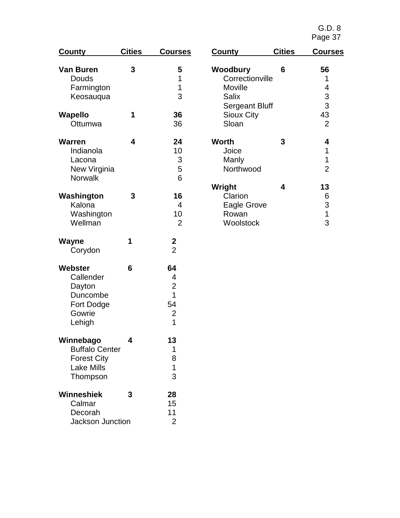| <b>County</b>                                                                             | <b>Cities</b> | <b>Courses</b>                                              | <u>Count</u>                  |
|-------------------------------------------------------------------------------------------|---------------|-------------------------------------------------------------|-------------------------------|
| Van Buren<br>Douds<br>Farmington<br>Keosauqua                                             | 3             | 5<br>1<br>1<br>3                                            | Wood<br>Co<br>Mc<br>Sa        |
| Wapello<br>Ottumwa                                                                        | 1             | 36<br>36                                                    | Se<br>Sic<br>Slo              |
| Warren<br>Indianola<br>Lacona<br>New Virginia<br>Norwalk                                  | 4             | 24<br>10<br>3<br>5<br>6                                     | Worth<br>Joi<br>Mε<br>No      |
| Washington<br>Kalona<br>Washington<br>Wellman                                             | 3             | 16<br>4<br>10<br>$\overline{2}$                             | Wrigh<br>Cla<br>Ea<br>Ro<br>W |
| Wayne<br>Corydon                                                                          | 1             | 2<br>$\overline{2}$                                         |                               |
| Webster<br>Callender<br>Dayton<br>Duncombe<br>Fort Dodge<br>Gowrie<br>Lehigh              | 6             | 64<br>4<br>$\overline{2}$<br>1<br>54<br>$\overline{2}$<br>1 |                               |
| Winnebago<br><b>Buffalo Center</b><br><b>Forest City</b><br><b>Lake Mills</b><br>Thompson | 4             | 13<br>1<br>8<br>$\overline{1}$<br>3                         |                               |
| Winneshiek<br>Calmar<br>Decorah<br><b>Jackson Junction</b>                                | 3             | 28<br>15<br>11<br>2                                         |                               |

| County                | <b>Cities</b> | <b>Courses</b> |
|-----------------------|---------------|----------------|
| Woodbury              | 6             | 56             |
| Correctionville       |               | 1              |
| Moville               |               | 4              |
| Salix                 |               | 3              |
| <b>Sergeant Bluff</b> |               | 3              |
| <b>Sioux City</b>     |               | 43             |
| Sloan                 |               | $\overline{2}$ |
| Worth                 | 3             | 4              |
| Joice                 |               | 1              |
| Manly                 |               | 1              |
| Northwood             |               | $\overline{2}$ |
| Wright                | 4             | 13             |
| Clarion               |               | 6              |
| Eagle Grove           |               | 3              |
| Rowan                 |               | 1              |
| Woolstock             |               | 3              |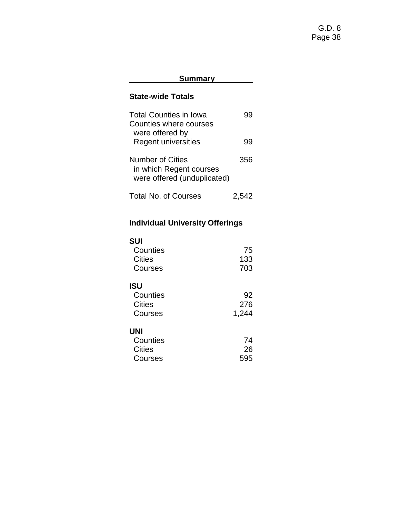# **Summary**

# **State-wide Totals**

| <b>Total Counties in Iowa</b> |       |
|-------------------------------|-------|
| Counties where courses        |       |
| were offered by               |       |
| <b>Regent universities</b>    | 99    |
|                               |       |
| Number of Cities              | 356   |
| in which Regent courses       |       |
| were offered (unduplicated)   |       |
|                               |       |
| <b>Total No. of Courses</b>   | 2.542 |

# **Individual University Offerings**

| <b>SUI</b> |     |
|------------|-----|
| Counties   | 75  |
| Cities     | 133 |
| Courses    | 703 |
| <b>ISU</b> |     |
| Counties   |     |

| ouunuu  | JZ    |
|---------|-------|
| Cities  | 276   |
| Courses | 1,244 |

# **UNI**

| Counties | 74  |
|----------|-----|
| Cities   | -26 |
| Courses  | 595 |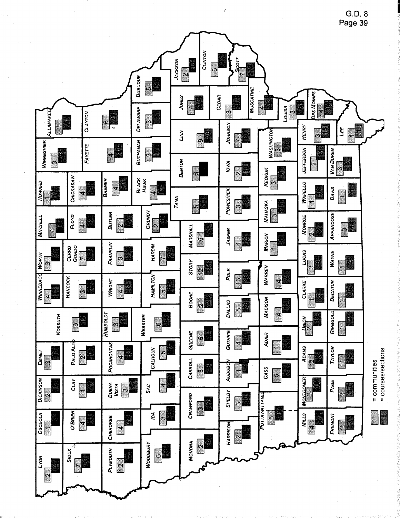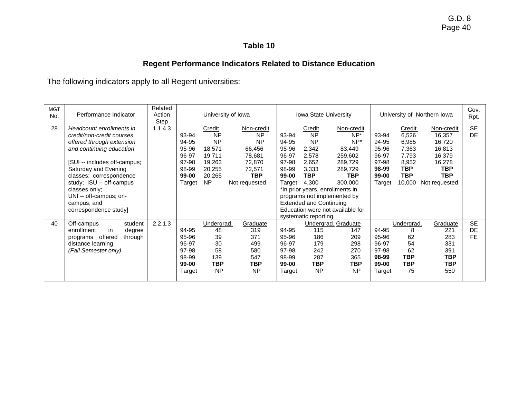# **Regent Performance Indicators Related to Distance Education**

The following indicators apply to all Regent universities:

| <b>MGT</b><br>No. | Performance Indicator          | Related<br>Action<br>Step |        |            | University of Iowa |                       | Iowa State University          |                                  |        |            | University of Northern Iowa | Gov.<br>Rpt. |
|-------------------|--------------------------------|---------------------------|--------|------------|--------------------|-----------------------|--------------------------------|----------------------------------|--------|------------|-----------------------------|--------------|
| 28                | Headcount enrollments in       | 1.1.4.3                   |        | Credit     | Non-credit         |                       | Credit                         | Non-credit                       |        | Credit     | Non-credit                  | <b>SE</b>    |
|                   | credit/non-credit courses      |                           | 93-94  | <b>NP</b>  | <b>NP</b>          | 93-94                 | <b>NP</b>                      | $NP^*$                           | 93-94  | 6,526      | 16,357                      | <b>DE</b>    |
|                   | offered through extension      |                           | 94-95  | <b>NP</b>  | <b>NP</b>          | 94-95                 | <b>NP</b>                      | $NP^*$                           | 94-95  | 6,985      | 16,720                      |              |
|                   | and continuing education       |                           | 95-96  | 18,571     | 66,456             | 95-96                 | 2,342                          | 83,449                           | 95-96  | 7,363      | 16,813                      |              |
|                   |                                |                           | 96-97  | 19,711     | 78,681             | 96-97                 | 2,578                          | 259,602                          | 96-97  | 7,793      | 16,379                      |              |
|                   | [SUI -- includes off-campus;   |                           | 97-98  | 19,263     | 72,870             | 97-98                 | 2,652                          | 289,729                          | 97-98  | 8,952      | 16,278                      |              |
|                   | Saturday and Evening           |                           | 98-99  | 20,255     | 72,571             | 98-99                 | 3,333                          | 289,729                          | 98-99  | TBP        | <b>TBP</b>                  |              |
|                   | classes; correspondence        |                           | 99-00  | 20,265     | <b>TBP</b>         | 99-00                 | <b>TBP</b>                     | TBP                              | 99-00  | <b>TBP</b> | <b>TBP</b>                  |              |
|                   | study; ISU -- off-campus       |                           | Target | <b>NP</b>  | Not requested      | Target                | 4,300                          | 300,000                          | Target | 10,000     | Not requested               |              |
|                   | classes only;                  |                           |        |            |                    |                       |                                | *In prior years, enrollments in  |        |            |                             |              |
|                   | UNI -- off-campus; on-         |                           |        |            |                    |                       |                                | programs not implemented by      |        |            |                             |              |
|                   | campus; and                    |                           |        |            |                    |                       | <b>Extended and Continuing</b> |                                  |        |            |                             |              |
|                   | correspondence study]          |                           |        |            |                    |                       |                                | Education were not available for |        |            |                             |              |
|                   |                                |                           |        |            |                    | systematic reporting. |                                |                                  |        |            |                             |              |
| 40                | Off-campus<br>student          | 2.2.1.3                   |        | Undergrad. | Graduate           |                       |                                | Undergrad. Graduate              |        | Undergrad. | Graduate                    | <b>SE</b>    |
|                   | enrollment<br>degree<br>in     |                           | 94-95  | 48         | 319                | 94-95                 | 115                            | 147                              | 94-95  | 8          | 221                         | DE           |
|                   | offered<br>through<br>programs |                           | 95-96  | 39         | 371                | 95-96                 | 186                            | 209                              | 95-96  | 62         | 283                         | <b>FF</b>    |
|                   | distance learning              |                           | 96-97  | 30         | 499                | 96-97                 | 179                            | 298                              | 96-97  | 54         | 331                         |              |
|                   | (Fall Semester only)           |                           | 97-98  | 58         | 580                | 97-98                 | 242                            | 270                              | 97-98  | 62         | 391                         |              |
|                   |                                |                           | 98-99  | 139        | 547                | 98-99                 | 287                            | 365                              | 98-99  | <b>TBP</b> | <b>TBP</b>                  |              |
|                   |                                |                           | 99-00  | <b>TBP</b> | <b>TBP</b>         | 99-00                 | <b>TBP</b>                     | <b>TBP</b>                       | 99-00  | <b>TBP</b> | <b>TBP</b>                  |              |
|                   |                                |                           | Target | <b>NP</b>  | <b>NP</b>          | Target                | <b>NP</b>                      | <b>NP</b>                        | Target | 75         | 550                         |              |
|                   |                                |                           |        |            |                    |                       |                                |                                  |        |            |                             |              |